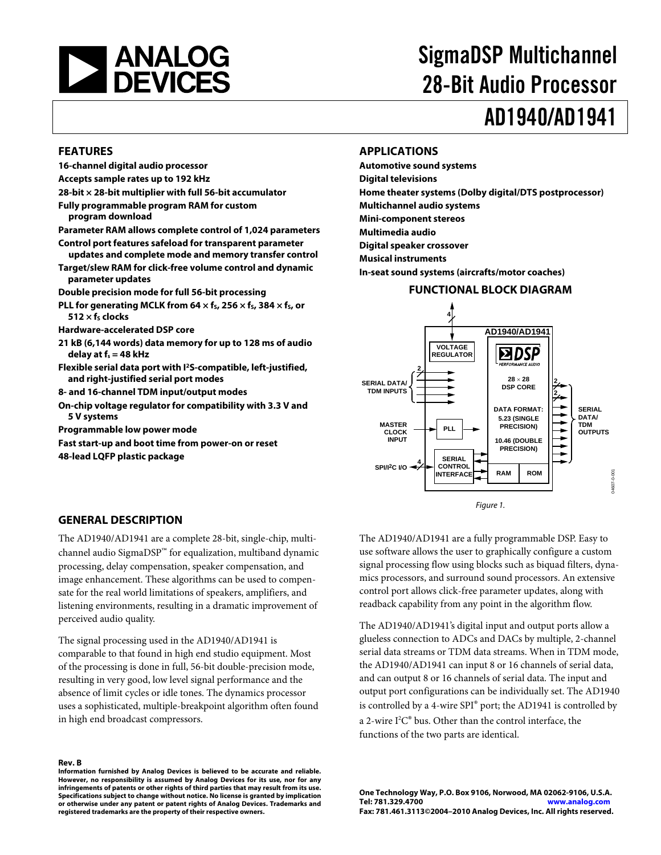

# SigmaDSP Multichannel 28-Bit Audio Processor

# AD1940/AD1941

#### **FEATURES**

- **16-channel digital audio processor**
- **Accepts sample rates up to 192 kHz**
- **28-bit × 28-bit multiplier with full 56-bit accumulator**
- **Fully programmable program RAM for custom program download**
- **Parameter RAM allows complete control of 1,024 parameters**
- **Control port features safeload for transparent parameter**
- **updates and complete mode and memory transfer control Target/slew RAM for click-free volume control and dynamic**
- **parameter updates Double precision mode for full 56-bit processing**
- **PLL for generating MCLK from 64**  $\times$  **fs, 256**  $\times$  **fs, 384**  $\times$  **fs, or**  $512 \times f<sub>s</sub>$  clocks
- **Hardware-accelerated DSP core**
- **21 kB (6,144 words) data memory for up to 128 ms of audio delay at fs = 48 kHz**
- **Flexible serial data port with I2S-compatible, left-justified, and right-justified serial port modes**
- **8- and 16-channel TDM input/output modes**
- **On-chip voltage regulator for compatibility with 3.3 V and 5 V systems**
- **Programmable low power mode**
- **Fast start-up and boot time from power-on or reset**

**48-lead LQFP plastic package** 

### **APPLICATIONS**

**Automotive sound systems Digital televisions Home theater systems (Dolby digital/DTS postprocessor) Multichannel audio systems Mini-component stereos Multimedia audio Digital speaker crossover Musical instruments In-seat sound systems (aircrafts/motor coaches)** 

#### **FUNCTIONAL BLOCK DIAGRAM**



## **GENERAL DESCRIPTION**

The AD1940/AD1941 are a complete 28-bit, single-chip, multichannel audio SigmaDSP™ for equalization, multiband dynamic processing, delay compensation, speaker compensation, and image enhancement. These algorithms can be used to compensate for the real world limitations of speakers, amplifiers, and listening environments, resulting in a dramatic improvement of perceived audio quality.

The signal processing used in the AD1940/AD1941 is comparable to that found in high end studio equipment. Most of the processing is done in full, 56-bit double-precision mode, resulting in very good, low level signal performance and the absence of limit cycles or idle tones. The dynamics processor uses a sophisticated, multiple-breakpoint algorithm often found in high end broadcast compressors.

**Rev. B Information furnished by Analog Devices is believed to be accurate and reliable. However, no responsibility is assumed by Analog Devices for its use, nor for any infringements of patents or other rights of third parties that may result from its use. Specifications subject to change without notice. No license is granted by implication or otherwise under any patent or patent rights of Analog Devices. Trademarks and registered trademarks are the property of their respective owners.**

The AD1940/AD1941 are a fully programmable DSP. Easy to use software allows the user to graphically configure a custom signal processing flow using blocks such as biquad filters, dynamics processors, and surround sound processors. An extensive control port allows click-free parameter updates, along with readback capability from any point in the algorithm flow.

The AD1940/AD1941's digital input and output ports allow a glueless connection to ADCs and DACs by multiple, 2-channel serial data streams or TDM data streams. When in TDM mode, the AD1940/AD1941 can input 8 or 16 channels of serial data, and can output 8 or 16 channels of serial data. The input and output port configurations can be individually set. The AD1940 is controlled by a 4-wire SPI® port; the AD1941 is controlled by a 2-wire I2 C**®** bus. Other than the control interface, the functions of the two parts are identical.

**One Technology Way, P.O. Box 9106, Norwood, MA 02062-9106, U.S.A. Tel: 781.329.4700 www.analog.com Fax: 781.461.3113©2004–2010 Analog Devices, Inc. All rights reserved.**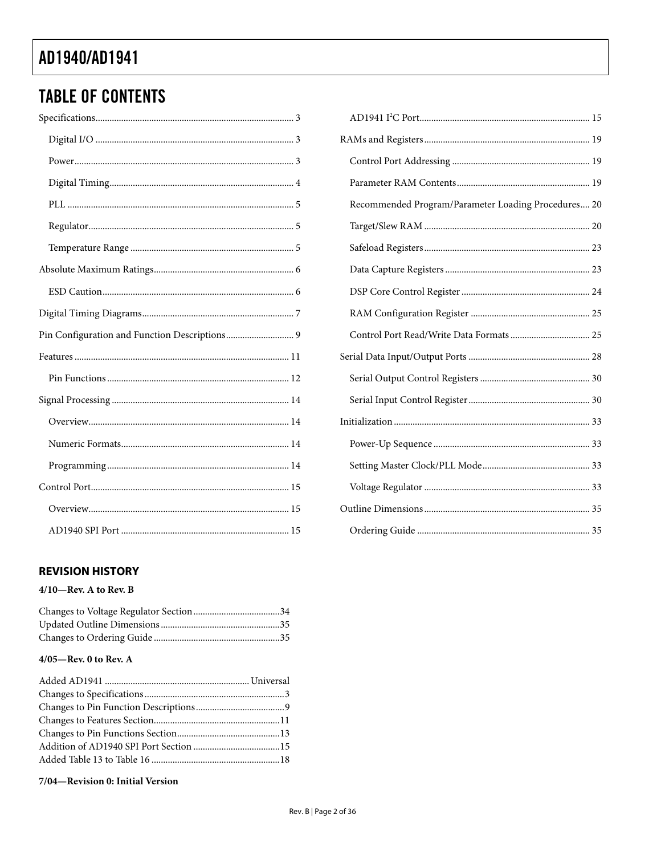# **TABLE OF CONTENTS**

| Recommended Program/Parameter Loading Procedures 20 |
|-----------------------------------------------------|
|                                                     |
|                                                     |
|                                                     |
|                                                     |
|                                                     |
|                                                     |
|                                                     |
|                                                     |
|                                                     |
|                                                     |
|                                                     |
|                                                     |
|                                                     |
|                                                     |
|                                                     |

## **REVISION HISTORY**

## $4/10$ –Rev. A to Rev. B

## $4/05$ —Rev. 0 to Rev. A

#### 7/04-Revision 0: Initial Version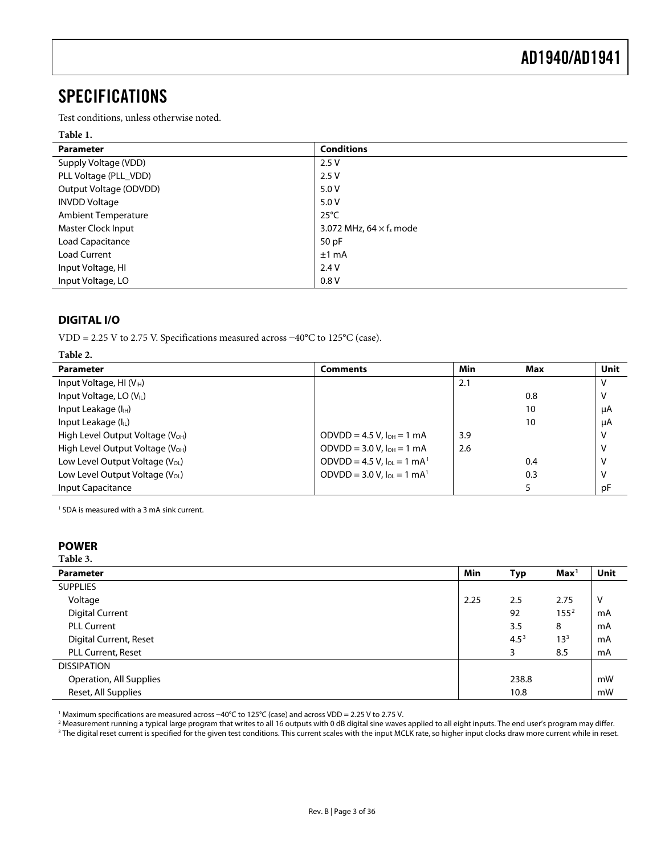## <span id="page-2-0"></span>SPECIFICATIONS

Test conditions, unless otherwise noted.

#### **Table 1.**

| <b>Parameter</b>           | <b>Conditions</b>                          |
|----------------------------|--------------------------------------------|
| Supply Voltage (VDD)       | 2.5V                                       |
| PLL Voltage (PLL_VDD)      | 2.5V                                       |
| Output Voltage (ODVDD)     | 5.0 V                                      |
| <b>INVDD Voltage</b>       | 5.0 V                                      |
| <b>Ambient Temperature</b> | $25^{\circ}$ C                             |
| Master Clock Input         | 3.072 MHz, 64 $\times$ f <sub>s</sub> mode |
| <b>Load Capacitance</b>    | 50pF                                       |
| Load Current               | $±1$ mA                                    |
| Input Voltage, HI          | 2.4V                                       |
| Input Voltage, LO          | 0.8V                                       |

## **DIGITAL I/O**

VDD = 2.25 V to 2.75 V. Specifications measured across −40°C to 125°C (case).

| Table 2.                                     |                                               |     |     |             |
|----------------------------------------------|-----------------------------------------------|-----|-----|-------------|
| <b>Parameter</b>                             | <b>Comments</b>                               | Min | Max | <b>Unit</b> |
| Input Voltage, HI $(V_{H})$                  |                                               | 2.1 |     | v           |
| Input Voltage, LO (VL)                       |                                               |     | 0.8 |             |
| Input Leakage $(IIH)$                        |                                               |     | 10  | μA          |
| Input Leakage (IL)                           |                                               |     | 10  | μA          |
| High Level Output Voltage $(VOH)$            | ODVDD = 4.5 V, $I_{OH}$ = 1 mA                | 3.9 |     |             |
| High Level Output Voltage (V <sub>OH</sub> ) | $ODVDD = 3.0 V.$ $I_{OH} = 1 mA$              | 2.6 |     |             |
| Low Level Output Voltage $(V_{OL})$          | ODVDD = 4.5 V, $I_{OL} = 1$ mA <sup>1</sup>   |     | 0.4 |             |
| Low Level Output Voltage (V <sub>OL</sub> )  | ODVDD = $3.0$ V, $I_{OL} = 1$ mA <sup>1</sup> |     | 0.3 |             |
| Input Capacitance                            |                                               |     |     | pF          |

1 SDA is measured with a 3 mA sink current.

### **POWER**

#### **Table 3.**

| <b>Parameter</b>        | <b>Min</b> | Typ       | Max <sup>1</sup> | Unit |
|-------------------------|------------|-----------|------------------|------|
| <b>SUPPLIES</b>         |            |           |                  |      |
| Voltage                 | 2.25       | 2.5       | 2.75             | v    |
| <b>Digital Current</b>  |            | 92        | 155 <sup>2</sup> | mA   |
| <b>PLL Current</b>      |            | 3.5       | 8                | mA   |
| Digital Current, Reset  |            | $4.5^{3}$ | $13^{3}$         | mA   |
| PLL Current, Reset      |            | 3         | 8.5              | mA   |
| <b>DISSIPATION</b>      |            |           |                  |      |
| Operation, All Supplies |            | 238.8     |                  | mW   |
| Reset, All Supplies     |            | 10.8      |                  | mW   |

<sup>1</sup> Maximum specifications are measured across -40°C to 125°C (case) and across VDD = 2.25 V to 2.75 V. Maximum specifications are measured across −40°C to 125°C (case) and across VDD = 2.25 V to 2.75 V.<br>2 Measurement running a typical large program that writes to all 16 outputs with 0 dB digital sine wayes

<sup>2</sup> Measurement running a typical large program that writes to all 16 outputs with 0 dB digital sine waves applied to all eight inputs. The end user's program may differ.<br><sup>3</sup> The digital reset current is specified for the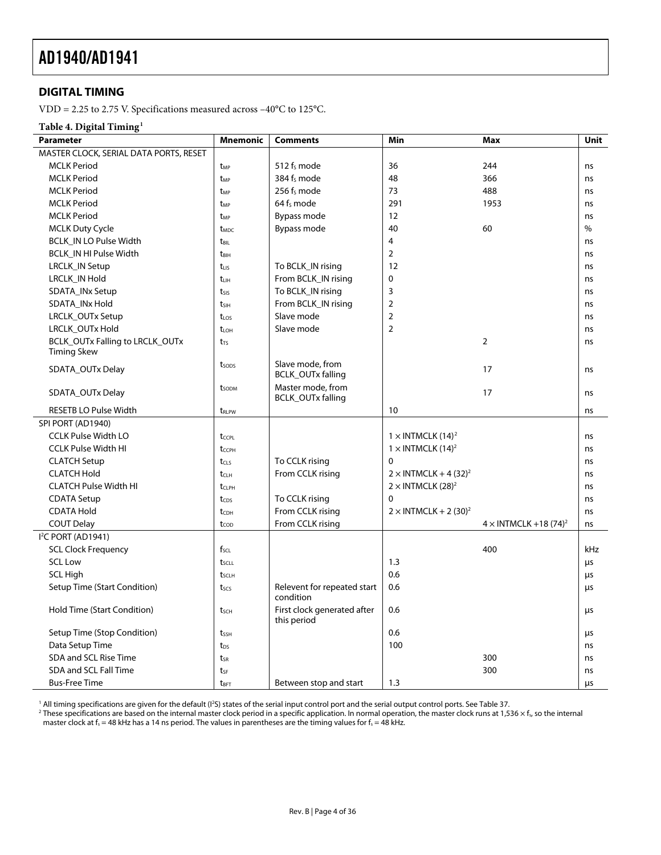## <span id="page-3-0"></span>**DIGITAL TIMING**

VDD = 2.25 to 2.75 V. Specifications measured across –40°C to 125°C.

#### **Table 4. Digital Timing1**

| Parameter                              | <b>Mnemonic</b>         | <b>Comments</b>                               | Min                                      | Max                                      | <b>Unit</b> |
|----------------------------------------|-------------------------|-----------------------------------------------|------------------------------------------|------------------------------------------|-------------|
| MASTER CLOCK, SERIAL DATA PORTS, RESET |                         |                                               |                                          |                                          |             |
| <b>MCLK Period</b>                     | t <sub>MP</sub>         | 512 f <sub>s</sub> mode                       | 36                                       | 244                                      | ns          |
| <b>MCLK Period</b>                     | t <sub>MP</sub>         | 384 fs mode                                   | 48                                       | 366                                      | ns          |
| <b>MCLK Period</b>                     | t <sub>MP</sub>         | 256 fs mode                                   | 73                                       | 488                                      | ns          |
| <b>MCLK Period</b>                     | t <sub>MP</sub>         | 64 f <sub>s</sub> mode                        | 291                                      | 1953                                     | ns          |
| <b>MCLK Period</b>                     | t <sub>MP</sub>         | Bypass mode                                   | 12                                       |                                          | ns          |
| <b>MCLK Duty Cycle</b>                 | <b>t</b> <sub>MDC</sub> | Bypass mode                                   | 40                                       | 60                                       | %           |
| <b>BCLK_IN LO Pulse Width</b>          | t <sub>BIL</sub>        |                                               | $\overline{4}$                           |                                          | ns          |
| BCLK_IN HI Pulse Width                 | t <sub>BIH</sub>        |                                               | $\overline{2}$                           |                                          | ns          |
| LRCLK_IN Setup                         | $t_{LIS}$               | To BCLK_IN rising                             | 12                                       |                                          | ns          |
| LRCLK_IN Hold                          | $t_{LIH}$               | From BCLK_IN rising                           | $\Omega$                                 |                                          | ns          |
| SDATA_INx Setup                        | $t_{SIS}$               | To BCLK_IN rising                             | 3                                        |                                          | ns          |
| SDATA_INx Hold                         | $t_{SH}$                | From BCLK_IN rising                           | $\overline{2}$                           |                                          | ns          |
| LRCLK_OUTx Setup                       | $t_{LOS}$               | Slave mode                                    | $\overline{2}$                           |                                          | ns          |
| LRCLK_OUTx Hold                        | $t_{LOH}$               | Slave mode                                    | $\overline{2}$                           |                                          | ns          |
| BCLK_OUTx Falling to LRCLK_OUTx        | $t_{TS}$                |                                               |                                          | $\overline{2}$                           | ns          |
| <b>Timing Skew</b>                     |                         |                                               |                                          |                                          |             |
| SDATA_OUTx Delay                       | tsops                   | Slave mode, from<br><b>BCLK_OUTx falling</b>  |                                          | 17                                       | ns          |
| SDATA_OUTx Delay                       | t <sub>sodm</sub>       | Master mode, from<br><b>BCLK_OUTx falling</b> |                                          | 17                                       | ns          |
| <b>RESETB LO Pulse Width</b>           | t <sub>RLPW</sub>       |                                               | 10                                       |                                          | ns          |
| SPI PORT (AD1940)                      |                         |                                               |                                          |                                          |             |
| <b>CCLK Pulse Width LO</b>             | t <sub>CCPL</sub>       |                                               | $1 \times$ INTMCLK (14) <sup>2</sup>     |                                          | ns          |
| <b>CCLK Pulse Width HI</b>             | t <sub>CCPH</sub>       |                                               | $1 \times$ INTMCLK $(14)^2$              |                                          | ns          |
| <b>CLATCH Setup</b>                    | $t_{CLS}$               | To CCLK rising                                | $\mathbf{0}$                             |                                          | ns          |
| <b>CLATCH Hold</b>                     | $t_{CLH}$               | From CCLK rising                              | $2 \times$ INTMCLK + 4 (32) <sup>2</sup> |                                          | ns          |
| <b>CLATCH Pulse Width HI</b>           | $t_{\text{CI PH}}$      |                                               | $2 \times$ INTMCLK (28) <sup>2</sup>     |                                          | ns          |
| <b>CDATA Setup</b>                     | tcps                    | To CCLK rising                                | $\Omega$                                 |                                          | ns          |
| <b>CDATA Hold</b>                      | $t_{CDH}$               | From CCLK rising                              | $2 \times$ INTMCLK + 2 (30) <sup>2</sup> |                                          | ns          |
| <b>COUT Delay</b>                      | tcop                    | From CCLK rising                              |                                          | $4 \times$ INTMCLK +18 (74) <sup>2</sup> | ns          |
| I <sup>2</sup> C PORT (AD1941)         |                         |                                               |                                          |                                          |             |
| <b>SCL Clock Frequency</b>             | $f_{\text{SCL}}$        |                                               |                                          | 400                                      | kHz         |
| <b>SCL Low</b>                         | tscu                    |                                               | 1.3                                      |                                          | μs          |
| <b>SCL High</b>                        | t <sub>sclh</sub>       |                                               | 0.6                                      |                                          | μs          |
| Setup Time (Start Condition)           | t <sub>scs</sub>        | Relevent for repeated start<br>condition      | 0.6                                      |                                          | μs          |
| Hold Time (Start Condition)            | tsch                    | First clock generated after<br>this period    | 0.6                                      |                                          | μs          |
| Setup Time (Stop Condition)            | tssh                    |                                               | 0.6                                      |                                          | μs          |
| Data Setup Time                        | t <sub>DS</sub>         |                                               | 100                                      |                                          | ns          |
| SDA and SCL Rise Time                  | $t_{SR}$                |                                               |                                          | 300                                      | ns          |
| SDA and SCL Fall Time                  | tsF                     |                                               |                                          | 300                                      | ns          |
| <b>Bus-Free Time</b>                   | $t_{\text{BFT}}$        | Between stop and start                        | 1.3                                      |                                          | μs          |

 $1$  All timing specifications are given for the default ( $12$ 

' All timing specifications are given for the default (I'S) states of the serial input control port and the serial output control ports. See Table 37.<br><sup>2</sup> These specifications are based on the internal master clock period master clock at  $f_s$  = 48 kHz has a 14 ns period. The values in parentheses are the timing values for  $f_s$  = 48 kHz.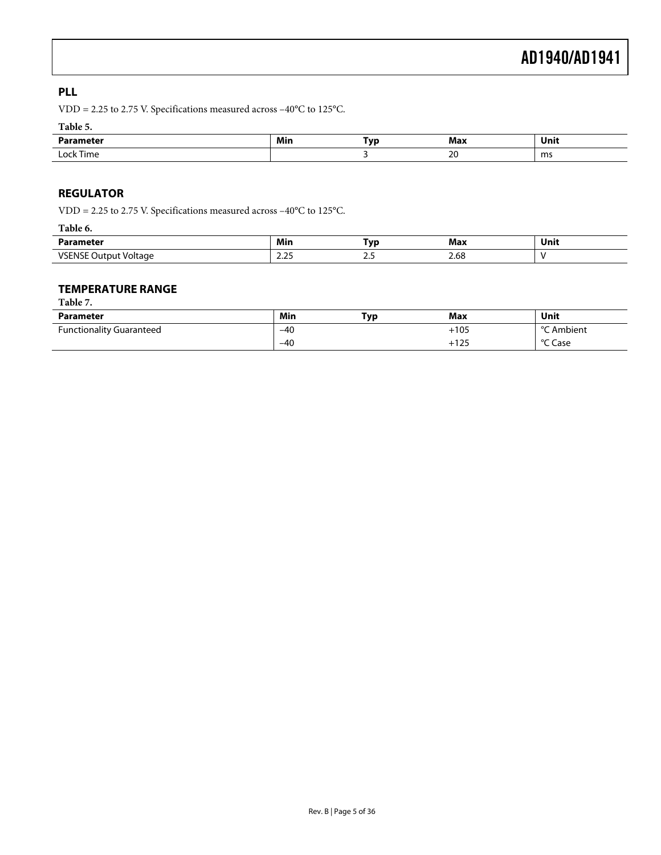## <span id="page-4-0"></span>**PLL**

VDD = 2.25 to 2.75 V. Specifications measured across –40°C to 125°C.

### **Table 5.**

| .          | Min | Tvn | Max                      | Unit<br>$\sim$ $\sim$ |
|------------|-----|-----|--------------------------|-----------------------|
| i ime<br>ີ |     |     | $\mathcal{L}$<br>∸<br>__ | ms                    |

## **REGULATOR**

VDD = 2.25 to 2.75 V. Specifications measured across –40°C to 125°C.

| ------<br>.                     |                                       |     |                       |      |  |
|---------------------------------|---------------------------------------|-----|-----------------------|------|--|
| Parameter                       | Min                                   | Tvo | Max                   | Unit |  |
| ./C<br>` Voltage<br>11 H<br>ιuτ | $\sim$ $\sim$ $\sim$<br>رے،∠<br>_____ |     | $\Omega$<br>2.OO<br>. |      |  |

### **TEMPERATURE RANGE**

**Table 7.** 

| Parameter                       | Min   | T <sub>VD</sub> | Max                     | Unit                       |
|---------------------------------|-------|-----------------|-------------------------|----------------------------|
| <b>Functionality Guaranteed</b> | $-40$ |                 | $+105$                  | $\circ$ $\sim$<br>`Ambient |
|                                 | $-40$ |                 | 1.2 <sub>F</sub><br>143 | °C Case                    |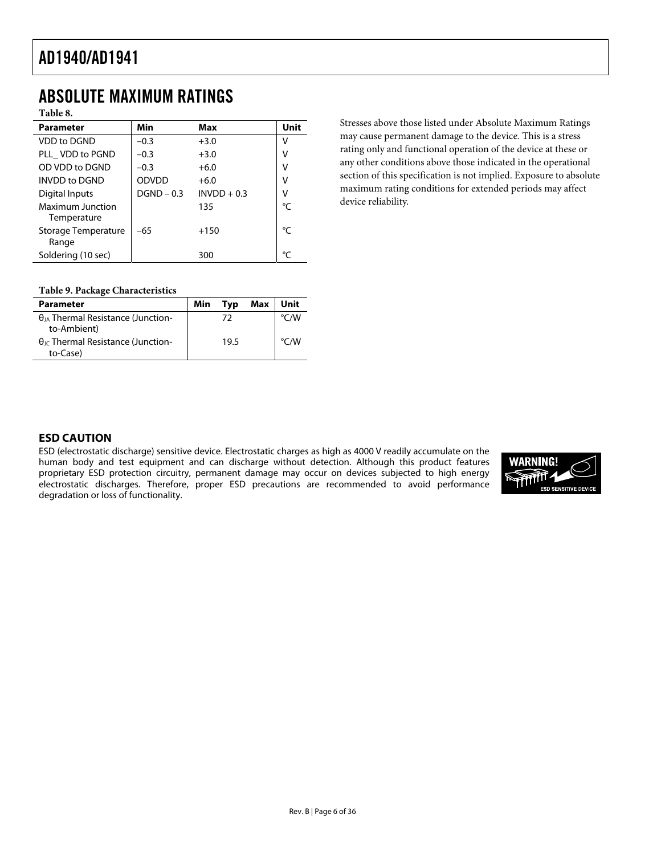## <span id="page-5-0"></span>ABSOLUTE MAXIMUM RATINGS

**Table 8.** 

| Min          | Max           | Unit |
|--------------|---------------|------|
| $-0.3$       | $+3.0$        | V    |
| $-0.3$       | $+3.0$        | V    |
| $-0.3$       | $+6.0$        | v    |
| ODVDD        | $+6.0$        | v    |
| $DGND - 0.3$ | $INVDD + 0.3$ | ٧    |
|              | 135           | °C   |
| $-65$        | $+150$        | °C   |
|              | 300           | °٢   |
|              |               |      |

Stresses above those listed under Absolute Maximum Ratings may cause permanent damage to the device. This is a stress rating only and functional operation of the device at these or any other conditions above those indicated in the operational section of this specification is not implied. Exposure to absolute maximum rating conditions for extended periods may affect device reliability.

#### **Table 9. Package Characteristics**

| <b>Parameter</b>                                               | Min | Tvp  | Max | Unit          |
|----------------------------------------------------------------|-----|------|-----|---------------|
| $\theta_{IA}$ Thermal Resistance (Junction-<br>to-Ambient)     |     | 72   |     | $\degree$ C/W |
| $\theta_{\text{JC}}$ Thermal Resistance (Junction-<br>to-Case) |     | 19.5 |     | $\degree$ C/W |

## **ESD CAUTION**

ESD (electrostatic discharge) sensitive device. Electrostatic charges as high as 4000 V readily accumulate on the human body and test equipment and can discharge without detection. Although this product features proprietary ESD protection circuitry, permanent damage may occur on devices subjected to high energy electrostatic discharges. Therefore, proper ESD precautions are recommended to avoid performance degradation or loss of functionality.

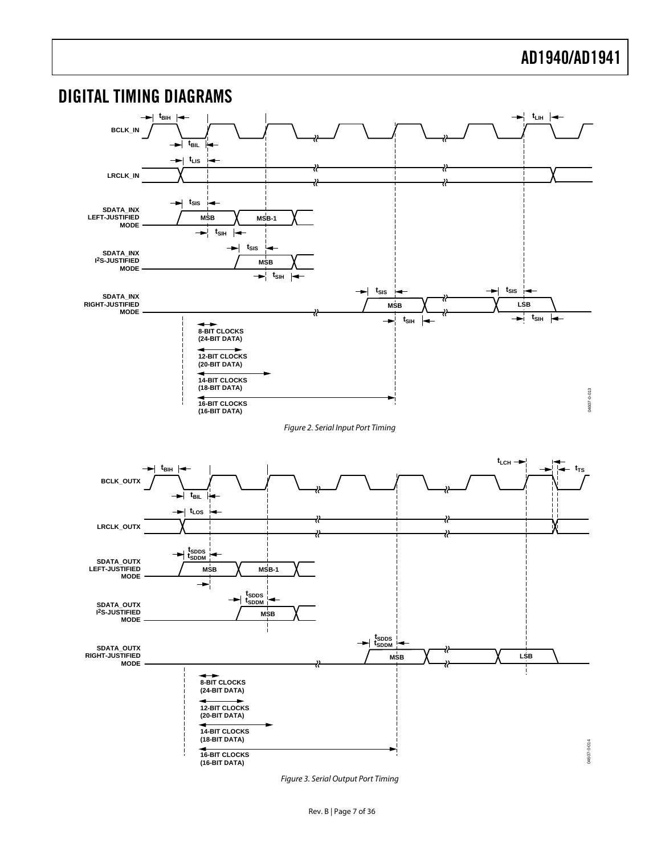<span id="page-6-0"></span>

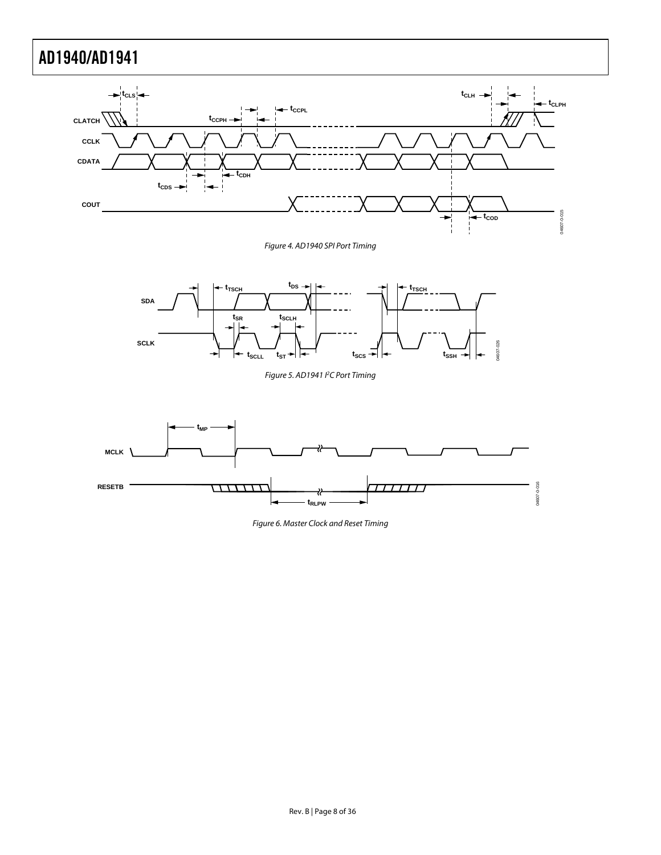

Figure 4. AD1940 SPI Port Timing

<span id="page-7-0"></span>

Figure 5. AD1941 PC Port Timing



Figure 6. Master Clock and Reset Timing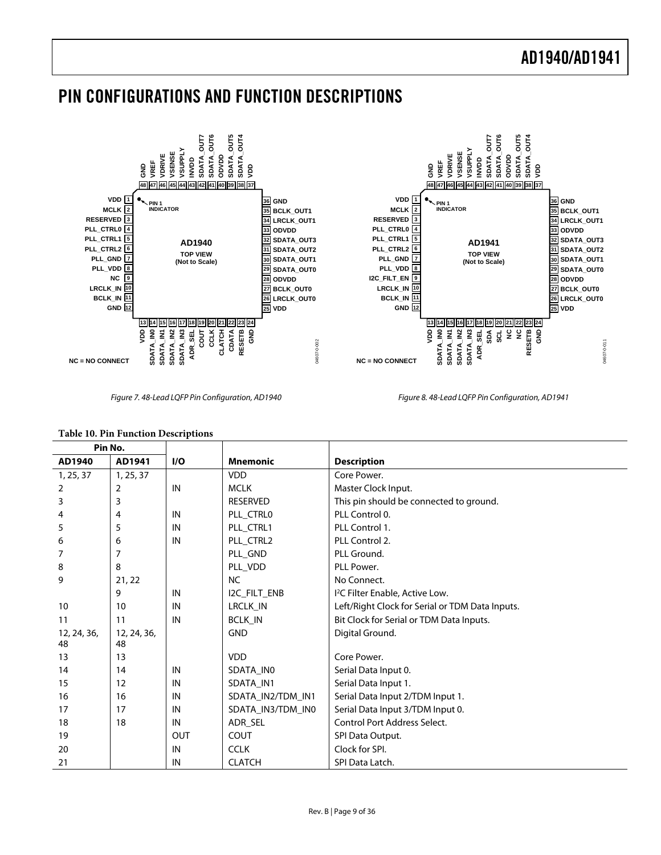## <span id="page-8-0"></span>PIN CONFIGURATIONS AND FUNCTION DESCRIPTIONS



Figure 7. 48-Lead LQFP Pin Configuration, AD1940 Figure 8. 48-Lead LQFP Pin Configuration, AD1941

#### <span id="page-8-1"></span>**Table 10. Pin Function Descriptions Pin No. AD1940 AD1941 I/O Mnemonic Description** 1, 25, 37 1, 25, 37 VDD Core Power. 2 2 | 2 | IN | MCLK | Master Clock Input. 3 3 3 3 **3 3 RESERVED** This pin should be connected to ground. 4 | IN | PLL\_CTRL0 | PLL Control 0. 5 5 IN PLL\_CTRL1 PLL Control 1. 6 | 6 | IN | PLL\_CTRL2 | PLL Control 2. 7 | PLL GND | PLL Ground. 8 8 8 PLL\_VDD PLL Power. 9 21, 22 NO Connect. 9 IN 12C\_FILT\_ENB 2 C Filter Enable, Active Low. 10 | IN | LRCLK\_IN | Left/Right Clock for Serial or TDM Data Inputs. 11 | IN | BCLK\_IN | Bit Clock for Serial or TDM Data Inputs. 12, 24, 36, 48 12, 24, 36, 48 GND Digital Ground. 13 13 VDD Core Power. 14 | IN | SDATA\_IN0 | Serial Data Input 0. 15 | 12 | IN | SDATA\_IN1 | Serial Data Input 1. 16 | IN | SDATA\_IN2/TDM\_IN1 | Serial Data Input 2/TDM Input 1. 17 | IN | SDATA\_IN3/TDM\_IN0 | Serial Data Input 3/TDM Input 0. 18 | 18 | IN | ADR\_SEL | Control Port Address Select. 19 | OUT COUT SPI Data Output. 20 **IN** CCLK Clock for SPI. 21 | IN CLATCH | SPI Data Latch.

Rev. B | Page 9 of 36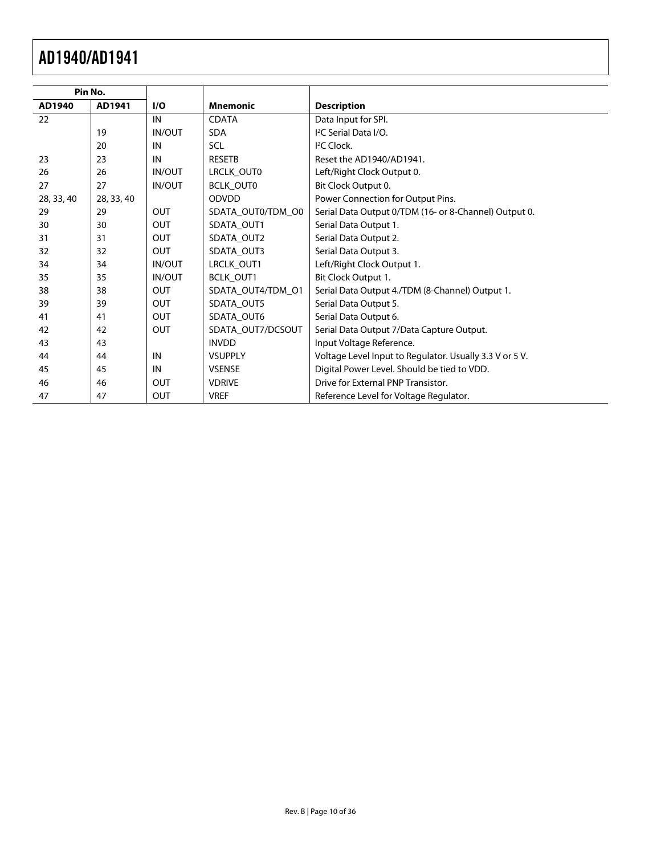| Pin No.    |            |               |                   |                                                         |
|------------|------------|---------------|-------------------|---------------------------------------------------------|
| AD1940     | AD1941     | I/O           | <b>Mnemonic</b>   | <b>Description</b>                                      |
| 22         |            | IN            | <b>CDATA</b>      | Data Input for SPI.                                     |
|            | 19         | <b>IN/OUT</b> | <b>SDA</b>        | I <sup>2</sup> C Serial Data I/O.                       |
|            | 20         | IN            | <b>SCL</b>        | <sup>2</sup> C Clock.                                   |
| 23         | 23         | IN            | <b>RESETB</b>     | Reset the AD1940/AD1941.                                |
| 26         | 26         | IN/OUT        | LRCLK_OUT0        | Left/Right Clock Output 0.                              |
| 27         | 27         | <b>IN/OUT</b> | BCLK_OUT0         | Bit Clock Output 0.                                     |
| 28, 33, 40 | 28, 33, 40 |               | <b>ODVDD</b>      | Power Connection for Output Pins.                       |
| 29         | 29         | <b>OUT</b>    | SDATA_OUT0/TDM_O0 | Serial Data Output 0/TDM (16- or 8-Channel) Output 0.   |
| 30         | 30         | <b>OUT</b>    | SDATA OUT1        | Serial Data Output 1.                                   |
| 31         | 31         | <b>OUT</b>    | SDATA_OUT2        | Serial Data Output 2.                                   |
| 32         | 32         | <b>OUT</b>    | SDATA_OUT3        | Serial Data Output 3.                                   |
| 34         | 34         | <b>IN/OUT</b> | LRCLK_OUT1        | Left/Right Clock Output 1.                              |
| 35         | 35         | <b>IN/OUT</b> | BCLK_OUT1         | Bit Clock Output 1.                                     |
| 38         | 38         | <b>OUT</b>    | SDATA OUT4/TDM O1 | Serial Data Output 4./TDM (8-Channel) Output 1.         |
| 39         | 39         | OUT           | SDATA OUT5        | Serial Data Output 5.                                   |
| 41         | 41         | OUT           | SDATA OUT6        | Serial Data Output 6.                                   |
| 42         | 42         | <b>OUT</b>    | SDATA_OUT7/DCSOUT | Serial Data Output 7/Data Capture Output.               |
| 43         | 43         |               | <b>INVDD</b>      | Input Voltage Reference.                                |
| 44         | 44         | IN            | <b>VSUPPLY</b>    | Voltage Level Input to Regulator. Usually 3.3 V or 5 V. |
| 45         | 45         | IN            | <b>VSENSE</b>     | Digital Power Level. Should be tied to VDD.             |
| 46         | 46         | <b>OUT</b>    | <b>VDRIVE</b>     | Drive for External PNP Transistor.                      |
| 47         | 47         | <b>OUT</b>    | <b>VREF</b>       | Reference Level for Voltage Regulator.                  |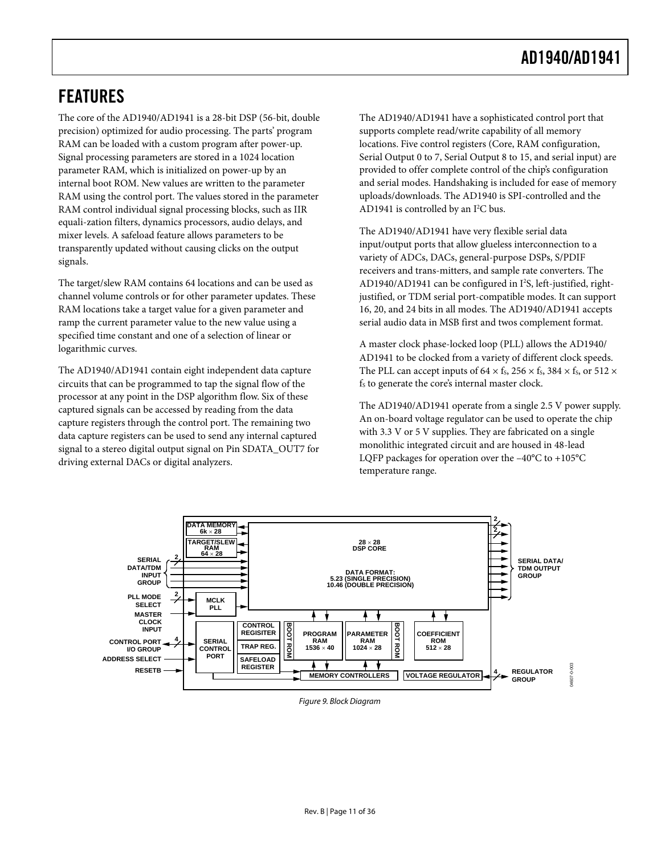## <span id="page-10-0"></span>FEATURES

The core of the AD1940/AD1941 is a 28-bit DSP (56-bit, double precision) optimized for audio processing. The parts' program RAM can be loaded with a custom program after power-up. Signal processing parameters are stored in a 1024 location parameter RAM, which is initialized on power-up by an internal boot ROM. New values are written to the parameter RAM using the control port. The values stored in the parameter RAM control individual signal processing blocks, such as IIR equali-zation filters, dynamics processors, audio delays, and mixer levels. A safeload feature allows parameters to be transparently updated without causing clicks on the output signals.

The target/slew RAM contains 64 locations and can be used as channel volume controls or for other parameter updates. These RAM locations take a target value for a given parameter and ramp the current parameter value to the new value using a specified time constant and one of a selection of linear or logarithmic curves.

The AD1940/AD1941 contain eight independent data capture circuits that can be programmed to tap the signal flow of the processor at any point in the DSP algorithm flow. Six of these captured signals can be accessed by reading from the data capture registers through the control port. The remaining two data capture registers can be used to send any internal captured signal to a stereo digital output signal on Pin SDATA\_OUT7 for driving external DACs or digital analyzers.

The AD1940/AD1941 have a sophisticated control port that supports complete read/write capability of all memory locations. Five control registers (Core, RAM configuration, Serial Output 0 to 7, Serial Output 8 to 15, and serial input) are provided to offer complete control of the chip's configuration and serial modes. Handshaking is included for ease of memory uploads/downloads. The AD1940 is SPI-controlled and the AD1941 is controlled by an  $I^2C$  bus.

The AD1940/AD1941 have very flexible serial data input/output ports that allow glueless interconnection to a variety of ADCs, DACs, general-purpose DSPs, S/PDIF receivers and trans-mitters, and sample rate converters. The AD1940/AD1941 can be configured in I<sup>2</sup>S, left-justified, rightjustified, or TDM serial port-compatible modes. It can support 16, 20, and 24 bits in all modes. The AD1940/AD1941 accepts serial audio data in MSB first and twos complement format.

A master clock phase-locked loop (PLL) allows the AD1940/ AD1941 to be clocked from a variety of different clock speeds. The PLL can accept inputs of  $64 \times$  f<sub>s</sub>,  $256 \times$  f<sub>s</sub>,  $384 \times$  f<sub>s</sub>, or  $512 \times$ f<sub>s</sub> to generate the core's internal master clock.

The AD1940/AD1941 operate from a single 2.5 V power supply. An on-board voltage regulator can be used to operate the chip with 3.3 V or 5 V supplies. They are fabricated on a single monolithic integrated circuit and are housed in 48-lead LQFP packages for operation over the –40°C to +105°C temperature range.



Figure 9. Block Diagram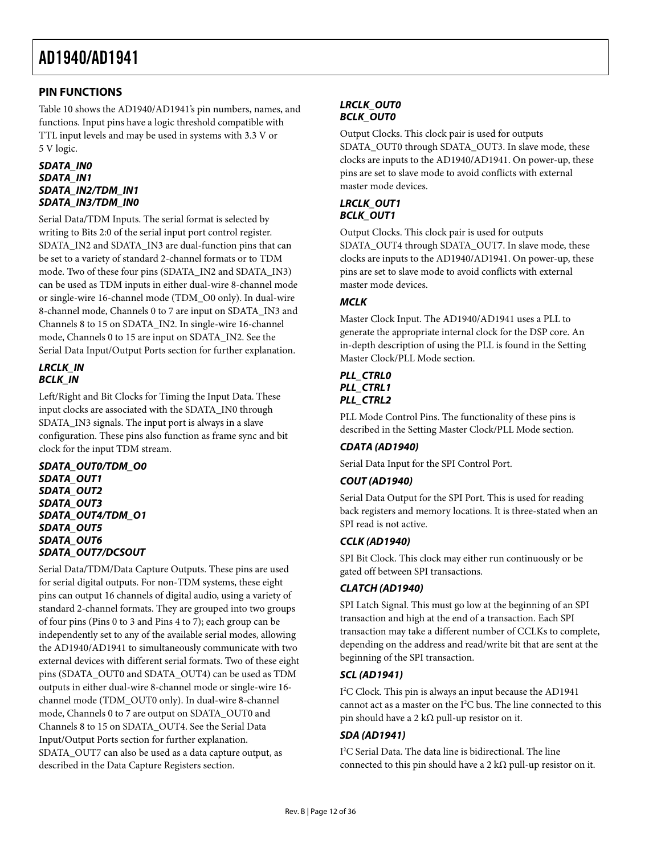## <span id="page-11-0"></span>**PIN FUNCTIONS**

[Table 10](#page-8-1) shows the AD1940/AD1941's pin numbers, names, and functions. Input pins have a logic threshold compatible with TTL input levels and may be used in systems with 3.3 V or 5 V logic.

#### **SDATA\_IN0 SDATA\_IN1 SDATA\_IN2/TDM\_IN1 SDATA\_IN3/TDM\_IN0**

Serial Data/TDM Inputs. The serial format is selected by writing to Bits 2:0 of the serial input port control register. SDATA\_IN2 and SDATA\_IN3 are dual-function pins that can be set to a variety of standard 2-channel formats or to TDM mode. Two of these four pins (SDATA\_IN2 and SDATA\_IN3) can be used as TDM inputs in either dual-wire 8-channel mode or single-wire 16-channel mode (TDM\_O0 only). In dual-wire 8-channel mode, Channels 0 to 7 are input on SDATA\_IN3 and Channels 8 to 15 on SDATA\_IN2. In single-wire 16-channel mode, Channels 0 to 15 are input on SDATA\_IN2. See the [Serial Data Input/Output Ports](#page-27-1) section for further explanation.

#### **LRCLK\_IN BCLK\_IN**

Left/Right and Bit Clocks for Timing the Input Data. These input clocks are associated with the SDATA\_IN0 through SDATA\_IN3 signals. The input port is always in a slave configuration. These pins also function as frame sync and bit clock for the input TDM stream.

**SDATA\_OUT0/TDM\_O0 SDATA\_OUT1 SDATA\_OUT2 SDATA\_OUT3 SDATA\_OUT4/TDM\_O1 SDATA\_OUT5 SDATA\_OUT6 SDATA\_OUT7/DCSOUT** 

Serial Data/TDM/Data Capture Outputs. These pins are used for serial digital outputs. For non-TDM systems, these eight pins can output 16 channels of digital audio, using a variety of standard 2-channel formats. They are grouped into two groups of four pins (Pins 0 to 3 and Pins 4 to 7); each group can be independently set to any of the available serial modes, allowing the AD1940/AD1941 to simultaneously communicate with two external devices with different serial formats. Two of these eight pins (SDATA\_OUT0 and SDATA\_OUT4) can be used as TDM outputs in either dual-wire 8-channel mode or single-wire 16 channel mode (TDM\_OUT0 only). In dual-wire 8-channel mode, Channels 0 to 7 are output on SDATA\_OUT0 and Channels 8 to 15 on SDATA\_OUT4. See the [Serial Data](#page-27-1)  [Input/Output Ports](#page-27-1) section for further explanation. SDATA\_OUT7 can also be used as a data capture output, as described in the [Data Capture Registers](#page-22-1) section.

## **LRCLK\_OUT0 BCLK\_OUT0**

Output Clocks. This clock pair is used for outputs SDATA\_OUT0 through SDATA\_OUT3. In slave mode, these clocks are inputs to the AD1940/AD1941. On power-up, these pins are set to slave mode to avoid conflicts with external master mode devices.

## **LRCLK\_OUT1 BCLK\_OUT1**

Output Clocks. This clock pair is used for outputs SDATA\_OUT4 through SDATA\_OUT7. In slave mode, these clocks are inputs to the AD1940/AD1941. On power-up, these pins are set to slave mode to avoid conflicts with external master mode devices.

## **MCLK**

Master Clock Input. The AD1940/AD1941 uses a PLL to generate the appropriate internal clock for the DSP core. An in-depth description of using the PLL is found in the [Setting](#page-32-1)  [Master Clock/PLL Mode](#page-32-1) section.

## **PLL\_CTRL0 PLL\_CTRL1 PLL\_CTRL2**

PLL Mode Control Pins. The functionality of these pins is described in the [Setting Master Clock/PLL Mode](#page-32-1) section.

## **CDATA (AD1940)**

Serial Data Input for the SPI Control Port.

## **COUT (AD1940)**

Serial Data Output for the SPI Port. This is used for reading back registers and memory locations. It is three-stated when an SPI read is not active.

## **CCLK (AD1940)**

SPI Bit Clock. This clock may either run continuously or be gated off between SPI transactions.

## **CLATCH (AD1940)**

SPI Latch Signal. This must go low at the beginning of an SPI transaction and high at the end of a transaction. Each SPI transaction may take a different number of CCLKs to complete, depending on the address and read/write bit that are sent at the beginning of the SPI transaction.

## **SCL (AD1941)**

I 2 C Clock. This pin is always an input because the AD1941 cannot act as a master on the  $I^2C$  bus. The line connected to this pin should have a 2 k $\Omega$  pull-up resistor on it.

## **SDA (AD1941)**

I 2 C Serial Data. The data line is bidirectional. The line connected to this pin should have a 2 k $\Omega$  pull-up resistor on it.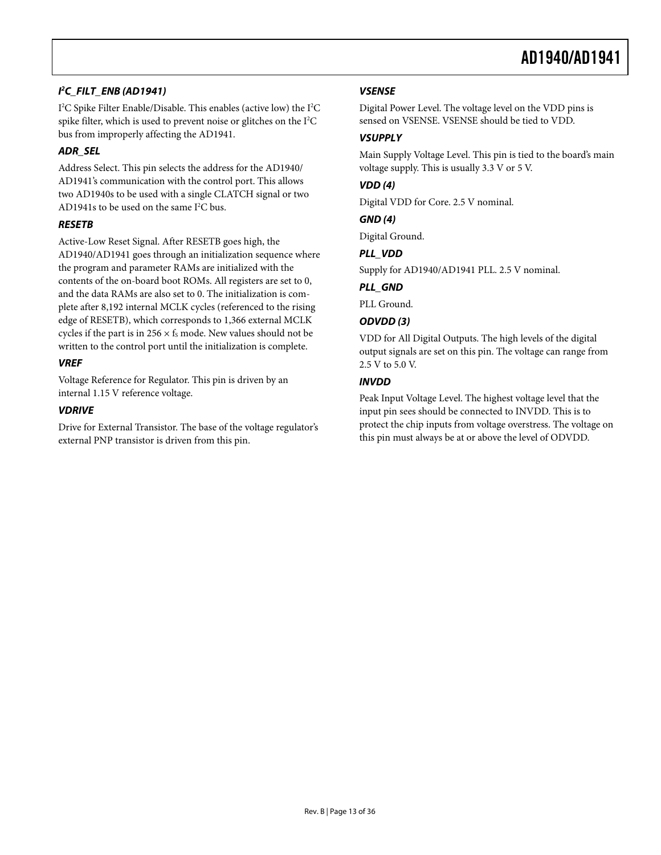### **I 2 C\_FILT\_ENB (AD1941)**

I<sup>2</sup>C Spike Filter Enable/Disable. This enables (active low) the I<sup>2</sup>C spike filter, which is used to prevent noise or glitches on the I<sup>2</sup>C bus from improperly affecting the AD1941.

### **ADR\_SEL**

Address Select. This pin selects the address for the AD1940/ AD1941's communication with the control port. This allows two AD1940s to be used with a single CLATCH signal or two AD1941s to be used on the same  $I^2C$  bus.

### **RESETB**

Active-Low Reset Signal. After RESETB goes high, the AD1940/AD1941 goes through an initialization sequence where the program and parameter RAMs are initialized with the contents of the on-board boot ROMs. All registers are set to 0, and the data RAMs are also set to 0. The initialization is complete after 8,192 internal MCLK cycles (referenced to the rising edge of RESETB), which corresponds to 1,366 external MCLK cycles if the part is in  $256 \times f_s$  mode. New values should not be written to the control port until the initialization is complete.

### **VREF**

Voltage Reference for Regulator. This pin is driven by an internal 1.15 V reference voltage.

### **VDRIVE**

Drive for External Transistor. The base of the voltage regulator's external PNP transistor is driven from this pin.

## **VSENSE**

Digital Power Level. The voltage level on the VDD pins is sensed on VSENSE. VSENSE should be tied to VDD.

### **VSUPPLY**

Main Supply Voltage Level. This pin is tied to the board's main voltage supply. This is usually 3.3 V or 5 V.

### **VDD (4)**

Digital VDD for Core. 2.5 V nominal.

#### **GND (4)**

Digital Ground.

### **PLL\_VDD**

Supply for AD1940/AD1941 PLL. 2.5 V nominal.

### **PLL\_GND**

PLL Ground.

## **ODVDD (3)**

VDD for All Digital Outputs. The high levels of the digital output signals are set on this pin. The voltage can range from 2.5 V to 5.0 V.

### **INVDD**

Peak Input Voltage Level. The highest voltage level that the input pin sees should be connected to INVDD. This is to protect the chip inputs from voltage overstress. The voltage on this pin must always be at or above the level of ODVDD.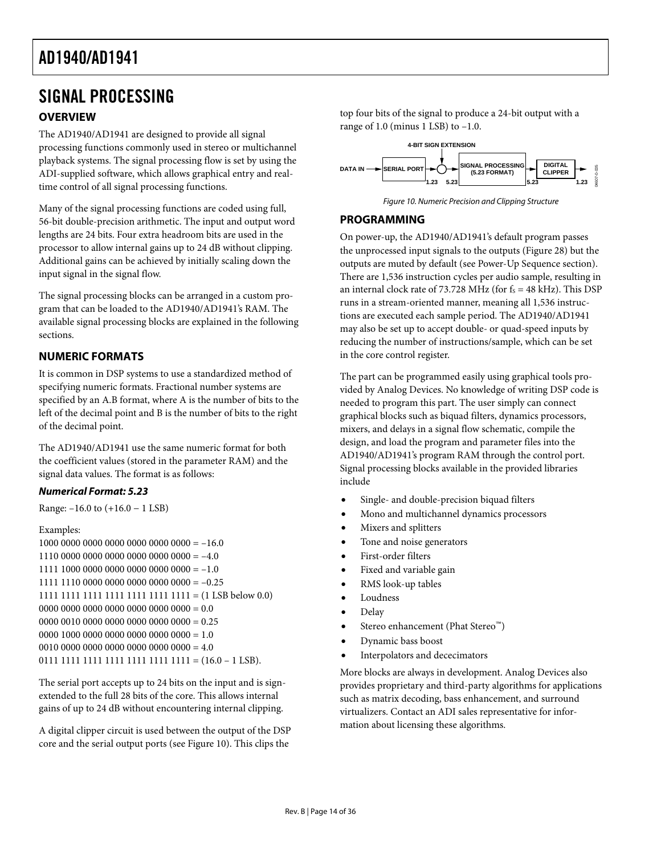# <span id="page-13-0"></span>SIGNAL PROCESSING

## **OVERVIEW**

The AD1940/AD1941 are designed to provide all signal processing functions commonly used in stereo or multichannel playback systems. The signal processing flow is set by using the ADI-supplied software, which allows graphical entry and realtime control of all signal processing functions.

<span id="page-13-1"></span>Many of the signal processing functions are coded using full, 56-bit double-precision arithmetic. The input and output word lengths are 24 bits. Four extra headroom bits are used in the processor to allow internal gains up to 24 dB without clipping. Additional gains can be achieved by initially scaling down the input signal in the signal flow.

The signal processing blocks can be arranged in a custom program that can be loaded to the AD1940/AD1941's RAM. The available signal processing blocks are explained in the following sections.

## **NUMERIC FORMATS**

It is common in DSP systems to use a standardized method of specifying numeric formats. Fractional number systems are specified by an A.B format, where A is the number of bits to the left of the decimal point and B is the number of bits to the right of the decimal point.

The AD1940/AD1941 use the same numeric format for both the coefficient values (stored in the parameter RAM) and the signal data values. The format is as follows:

## **Numerical Format: 5.23**

Range: –16.0 to (+16.0 − 1 LSB)

```
Examples:
```
 $1000 0000 0000 0000 0000 0000 0000 = -16.0$  $1110\ 0000\ 0000\ 0000\ 0000\ 0000\ 0000 = -4.0$  $1111 1000 0000 0000 0000 0000 0000 = -1.0$  $1111$  1110 0000 0000 0000 0000 0000 = -0.25 1111 1111 1111 1111 1111 1111 1111 = (1 LSB below 0.0)  $0000 0000 0000 0000 0000 0000 0000 = 0.0$  $0000 0010 0000 0000 0000 0000 0000 = 0.25$  $0000 1000 0000 0000 0000 0000 0000 = 1.0$  $0010\ 0000\ 0000\ 0000\ 0000\ 0000\ 0000 = 4.0$  $0111$  1111 1111 1111 1111 1111 1111 =  $(16.0 - 1$  LSB).

The serial port accepts up to 24 bits on the input and is signextended to the full 28 bits of the core. This allows internal gains of up to 24 dB without encountering internal clipping.

A digital clipper circuit is used between the output of the DSP core and the serial output ports (see [Figure 10](#page-13-1)). This clips the

top four bits of the signal to produce a 24-bit output with a range of 1.0 (minus 1 LSB) to  $-1.0$ .



Figure 10. Numeric Precision and Clipping Structure

### **PROGRAMMING**

On power-up, the AD1940/AD1941's default program passes the unprocessed input signals to the outputs [\(Figure 28\)](#page-32-2) but the outputs are muted by default (see [Power-Up Sequence](#page-32-3) section). There are 1,536 instruction cycles per audio sample, resulting in an internal clock rate of 73.728 MHz (for  $f_s = 48$  kHz). This DSP runs in a stream-oriented manner, meaning all 1,536 instructions are executed each sample period. The AD1940/AD1941 may also be set up to accept double- or quad-speed inputs by reducing the number of instructions/sample, which can be set in the core control register.

The part can be programmed easily using graphical tools provided by Analog Devices. No knowledge of writing DSP code is needed to program this part. The user simply can connect graphical blocks such as biquad filters, dynamics processors, mixers, and delays in a signal flow schematic, compile the design, and load the program and parameter files into the AD1940/AD1941's program RAM through the control port. Signal processing blocks available in the provided libraries include

- Single- and double-precision biquad filters
- Mono and multichannel dynamics processors
- Mixers and splitters
- Tone and noise generators
- First-order filters
- Fixed and variable gain
- RMS look-up tables
- **Loudness**
- Delay
- Stereo enhancement (Phat Stereo™)
- Dynamic bass boost
- Interpolators and dececimators

More blocks are always in development. Analog Devices also provides proprietary and third-party algorithms for applications such as matrix decoding, bass enhancement, and surround virtualizers. Contact an ADI sales representative for information about licensing these algorithms.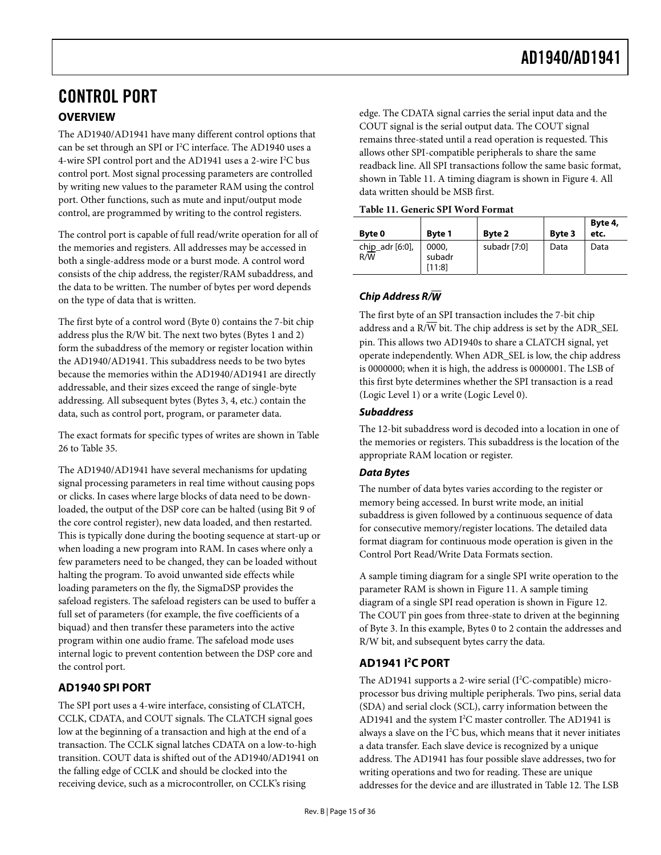# <span id="page-14-0"></span>CONTROL PORT **OVERVIEW**

The AD1940/AD1941 have many different control options that can be set through an SPI or I<sup>2</sup>C interface. The AD1940 uses a 4-wire SPI control port and the AD1941 uses a 2-wire I<sup>2</sup>C bus control port. Most signal processing parameters are controlled by writing new values to the parameter RAM using the control port. Other functions, such as mute and input/output mode control, are programmed by writing to the control registers.

<span id="page-14-1"></span>The control port is capable of full read/write operation for all of the memories and registers. All addresses may be accessed in both a single-address mode or a burst mode. A control word consists of the chip address, the register/RAM subaddress, and the data to be written. The number of bytes per word depends on the type of data that is written.

The first byte of a control word (Byte 0) contains the 7-bit chip address plus the R/W bit. The next two bytes (Bytes 1 and 2) form the subaddress of the memory or register location within the AD1940/AD1941. This subaddress needs to be two bytes because the memories within the AD1940/AD1941 are directly addressable, and their sizes exceed the range of single-byte addressing. All subsequent bytes (Bytes 3, 4, etc.) contain the data, such as control port, program, or parameter data.

The exact formats for specific types of writes are shown in [Table](#page-25-0)  [26](#page-25-0) to [Table 35](#page-26-0).

The AD1940/AD1941 have several mechanisms for updating signal processing parameters in real time without causing pops or clicks. In cases where large blocks of data need to be downloaded, the output of the DSP core can be halted (using Bit 9 of the core control register), new data loaded, and then restarted. This is typically done during the booting sequence at start-up or when loading a new program into RAM. In cases where only a few parameters need to be changed, they can be loaded without halting the program. To avoid unwanted side effects while loading parameters on the fly, the SigmaDSP provides the safeload registers. The safeload registers can be used to buffer a full set of parameters (for example, the five coefficients of a biquad) and then transfer these parameters into the active program within one audio frame. The safeload mode uses internal logic to prevent contention between the DSP core and the control port.

## **AD1940 SPI PORT**

The SPI port uses a 4-wire interface, consisting of CLATCH, CCLK, CDATA, and COUT signals. The CLATCH signal goes low at the beginning of a transaction and high at the end of a transaction. The CCLK signal latches CDATA on a low-to-high transition. COUT data is shifted out of the AD1940/AD1941 on the falling edge of CCLK and should be clocked into the receiving device, such as a microcontroller, on CCLK's rising

edge. The CDATA signal carries the serial input data and the COUT signal is the serial output data. The COUT signal remains three-stated until a read operation is requested. This allows other SPI-compatible peripherals to share the same readback line. All SPI transactions follow the same basic format, shown in [Table 11](#page-14-1). A timing diagram is shown in [Figure 4.](#page-7-0) All data written should be MSB first.

| Table 11. Generic SPI Word Format |  |
|-----------------------------------|--|
|-----------------------------------|--|

| Byte 0                 | Byte 1                    | Byte 2       | Byte 3 | Byte 4,<br>etc. |
|------------------------|---------------------------|--------------|--------|-----------------|
| chip_adr [6:0],<br>R/W | 0000,<br>subadr<br>[11:8] | subadr [7:0] | Data   | Data            |

## **Chip Address R/W**

The first byte of an SPI transaction includes the 7-bit chip address and a  $R/\overline{W}$  bit. The chip address is set by the ADR\_SEL pin. This allows two AD1940s to share a CLATCH signal, yet operate independently. When ADR\_SEL is low, the chip address is 0000000; when it is high, the address is 0000001. The LSB of this first byte determines whether the SPI transaction is a read (Logic Level 1) or a write (Logic Level 0).

## **Subaddress**

The 12-bit subaddress word is decoded into a location in one of the memories or registers. This subaddress is the location of the appropriate RAM location or register.

## **Data Bytes**

The number of data bytes varies according to the register or memory being accessed. In burst write mode, an initial subaddress is given followed by a continuous sequence of data for consecutive memory/register locations. The detailed data format diagram for continuous mode operation is given in the [Control Port Read/Write Data Formats](#page-24-1) section.

A sample timing diagram for a single SPI write operation to the parameter RAM is shown in [Figure 11.](#page-16-0) A sample timing diagram of a single SPI read operation is shown in [Figure 12](#page-16-1). The COUT pin goes from three-state to driven at the beginning of Byte 3. In this example, Bytes 0 to 2 contain the addresses and R/W bit, and subsequent bytes carry the data.

## **AD1941 I2 C PORT**

The AD1941 supports a 2-wire serial (I<sup>2</sup>C-compatible) microprocessor bus driving multiple peripherals. Two pins, serial data (SDA) and serial clock (SCL), carry information between the AD1941 and the system I<sup>2</sup>C master controller. The AD1941 is always a slave on the  $I^2C$  bus, which means that it never initiates a data transfer. Each slave device is recognized by a unique address. The AD1941 has four possible slave addresses, two for writing operations and two for reading. These are unique addresses for the device and are illustrated in [Table 12](#page-15-0). The LSB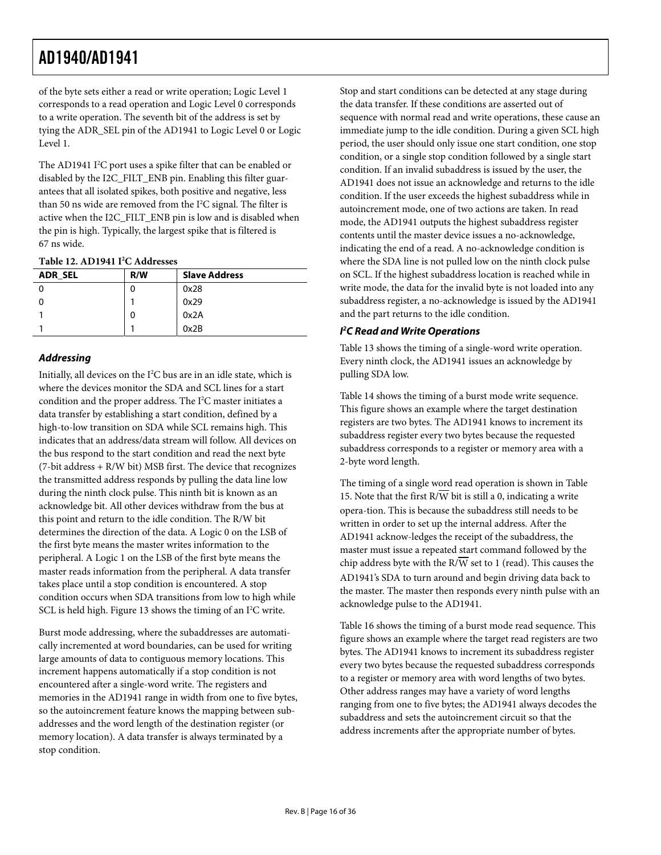of the byte sets either a read or write operation; Logic Level 1 corresponds to a read operation and Logic Level 0 corresponds to a write operation. The seventh bit of the address is set by tying the ADR\_SEL pin of the AD1941 to Logic Level 0 or Logic Level 1.

The AD1941  $I<sup>2</sup>C$  port uses a spike filter that can be enabled or disabled by the I2C\_FILT\_ENB pin. Enabling this filter guarantees that all isolated spikes, both positive and negative, less than 50 ns wide are removed from the I<sup>2</sup>C signal. The filter is active when the I2C\_FILT\_ENB pin is low and is disabled when the pin is high. Typically, the largest spike that is filtered is 67 ns wide.

| Table 12. AD1941 I <sup>2</sup> C Addresses |  |
|---------------------------------------------|--|
|---------------------------------------------|--|

<span id="page-15-0"></span>

| <b>ADR SEL</b> | R/W | <b>Slave Address</b> |
|----------------|-----|----------------------|
|                | 0   | 0x28                 |
|                |     | 0x29                 |
|                | 0   | 0x2A                 |
|                |     | 0x2B                 |

## **Addressing**

Initially, all devices on the I<sup>2</sup>C bus are in an idle state, which is where the devices monitor the SDA and SCL lines for a start condition and the proper address. The  $I<sup>2</sup>C$  master initiates a data transfer by establishing a start condition, defined by a high-to-low transition on SDA while SCL remains high. This indicates that an address/data stream will follow. All devices on the bus respond to the start condition and read the next byte (7-bit address + R/W bit) MSB first. The device that recognizes the transmitted address responds by pulling the data line low during the ninth clock pulse. This ninth bit is known as an acknowledge bit. All other devices withdraw from the bus at this point and return to the idle condition. The R/W bit determines the direction of the data. A Logic 0 on the LSB of the first byte means the master writes information to the peripheral. A Logic 1 on the LSB of the first byte means the master reads information from the peripheral. A data transfer takes place until a stop condition is encountered. A stop condition occurs when SDA transitions from low to high while SCL is held high. [Figure 13](#page-16-2) shows the timing of an I<sup>2</sup>C write.

Burst mode addressing, where the subaddresses are automatically incremented at word boundaries, can be used for writing large amounts of data to contiguous memory locations. This increment happens automatically if a stop condition is not encountered after a single-word write. The registers and memories in the AD1941 range in width from one to five bytes, so the autoincrement feature knows the mapping between subaddresses and the word length of the destination register (or memory location). A data transfer is always terminated by a stop condition.

Stop and start conditions can be detected at any stage during the data transfer. If these conditions are asserted out of sequence with normal read and write operations, these cause an immediate jump to the idle condition. During a given SCL high period, the user should only issue one start condition, one stop condition, or a single stop condition followed by a single start condition. If an invalid subaddress is issued by the user, the AD1941 does not issue an acknowledge and returns to the idle condition. If the user exceeds the highest subaddress while in autoincrement mode, one of two actions are taken. In read mode, the AD1941 outputs the highest subaddress register contents until the master device issues a no-acknowledge, indicating the end of a read. A no-acknowledge condition is where the SDA line is not pulled low on the ninth clock pulse on SCL. If the highest subaddress location is reached while in write mode, the data for the invalid byte is not loaded into any subaddress register, a no-acknowledge is issued by the AD1941 and the part returns to the idle condition.

### **I 2 C Read and Write Operations**

[Table 13](#page-17-0) shows the timing of a single-word write operation. Every ninth clock, the AD1941 issues an acknowledge by pulling SDA low.

[Table 14](#page-17-1) shows the timing of a burst mode write sequence. This figure shows an example where the target destination registers are two bytes. The AD1941 knows to increment its subaddress register every two bytes because the requested subaddress corresponds to a register or memory area with a 2-byte word length.

The timing of a single word read operation is shown in [Table](#page-17-2)  [15](#page-17-2). Note that the first  $R/\overline{W}$  bit is still a 0, indicating a write opera-tion. This is because the subaddress still needs to be written in order to set up the internal address. After the AD1941 acknow-ledges the receipt of the subaddress, the master must issue a repeated start command followed by the chip address byte with the  $R/\overline{W}$  set to 1 (read). This causes the AD1941's SDA to turn around and begin driving data back to the master. The master then responds every ninth pulse with an acknowledge pulse to the AD1941.

[Table 16](#page-17-3) shows the timing of a burst mode read sequence. This figure shows an example where the target read registers are two bytes. The AD1941 knows to increment its subaddress register every two bytes because the requested subaddress corresponds to a register or memory area with word lengths of two bytes. Other address ranges may have a variety of word lengths ranging from one to five bytes; the AD1941 always decodes the subaddress and sets the autoincrement circuit so that the address increments after the appropriate number of bytes.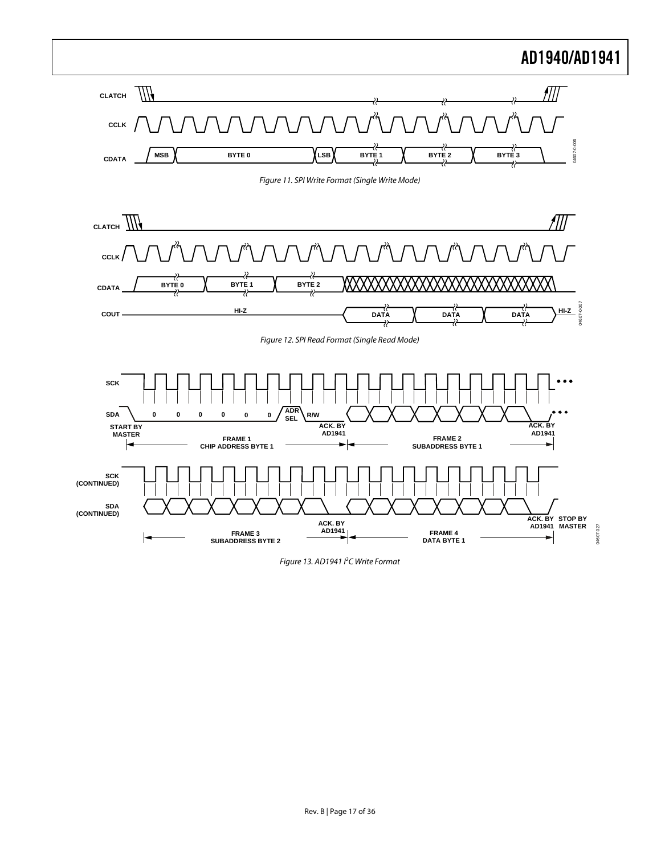<span id="page-16-1"></span><span id="page-16-0"></span>

<span id="page-16-2"></span>Figure 13. AD1941 I<sup>2</sup>C Write Format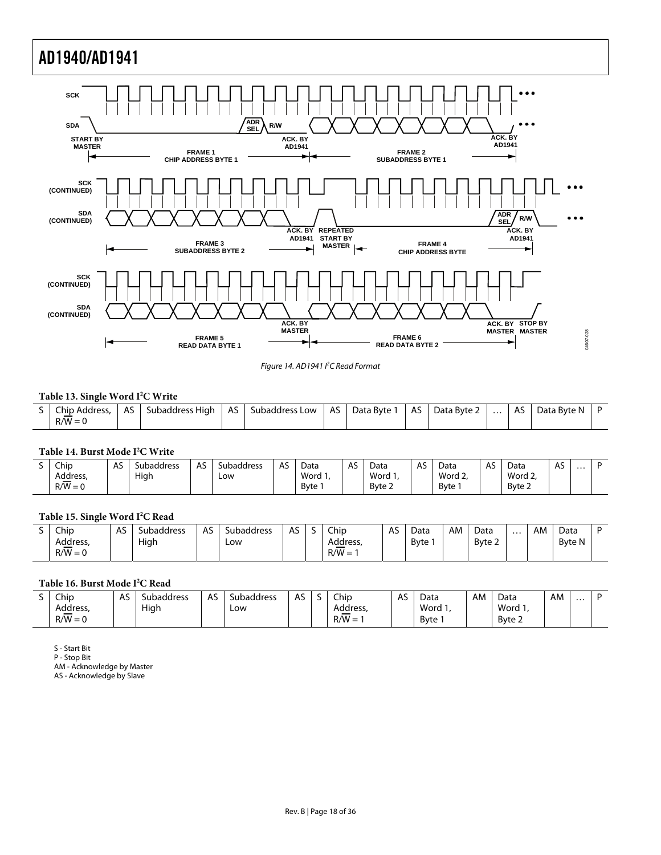

Figure 14. AD1941 <sup>2</sup>C Read Format

#### **Table 13. Single Word I2 C Write**

<span id="page-17-0"></span>

| S Chip Address.<br>$R/W = 0$ | AS. | Subaddress High   AS   Subaddress Low   AS   Data Byte 1 |  |  | AS   Data Byte 2 | $\cdots$ | I AS I | Data Byte N |  |
|------------------------------|-----|----------------------------------------------------------|--|--|------------------|----------|--------|-------------|--|
|                              |     |                                                          |  |  |                  |          |        |             |  |

#### **Table 14. Burst Mode I2 C Write**

<span id="page-17-1"></span>

| - | Chip      | AS | <b>Subaddress</b> | $\sim$<br>$\mathbf{a}$<br>Αэ | Subaddress | AS | Data              | $\sim$<br>Αэ | Data    | A2 | Data    | A. | Data    | AS. | $\cdots$ | r |
|---|-----------|----|-------------------|------------------------------|------------|----|-------------------|--------------|---------|----|---------|----|---------|-----|----------|---|
|   | Address,  |    | Hiah              |                              | LOW        |    | Word <sub>1</sub> |              | Word 1. |    | Word 2. |    | Word 2, |     |          |   |
|   | $R/W = 0$ |    |                   |                              |            |    | Byte              |              | Byte 2  |    | Byte    |    | Byte 2  |     |          |   |

#### **Table 15. Single Word I2 C Read**

<span id="page-17-2"></span>

| Chip      | AS | Subaddress | $\sim$<br>ΑS<br>ີ | Subaddress | AS | Chip     | ∼ | Data         | AM | Data   | $\cdots$ | AM | Data          |  |
|-----------|----|------------|-------------------|------------|----|----------|---|--------------|----|--------|----------|----|---------------|--|
| Address,  |    | High       |                   | Low        |    | Address, |   | <b>B</b> vte |    | Byte 2 |          |    | <b>Byte N</b> |  |
| $R/W = 0$ |    |            |                   |            |    | $R/W =$  |   |              |    |        |          |    |               |  |

#### **Table 16. Burst Mode I2 C Read**

<span id="page-17-3"></span>

| - | Chip      | ^ ^<br>AS. | ubaddress، | AS | Subaddress | $\sim$<br>$\mathbf{A}$<br>, , , | ┘ | Chip     | AS | Data   | AM | Data   | AM | $\cdots$ |  |
|---|-----------|------------|------------|----|------------|---------------------------------|---|----------|----|--------|----|--------|----|----------|--|
|   | Address,  |            | High       |    | Low        |                                 |   | Address, |    | Word 1 |    | Word 1 |    |          |  |
|   | $R/W = 0$ |            |            |    |            |                                 |   | $R/W =$  |    | Byte   |    | Byte 2 |    |          |  |

S - Start Bit

P - Stop Bit

AM - Acknowledge by Master

AS - Acknowledge by Slave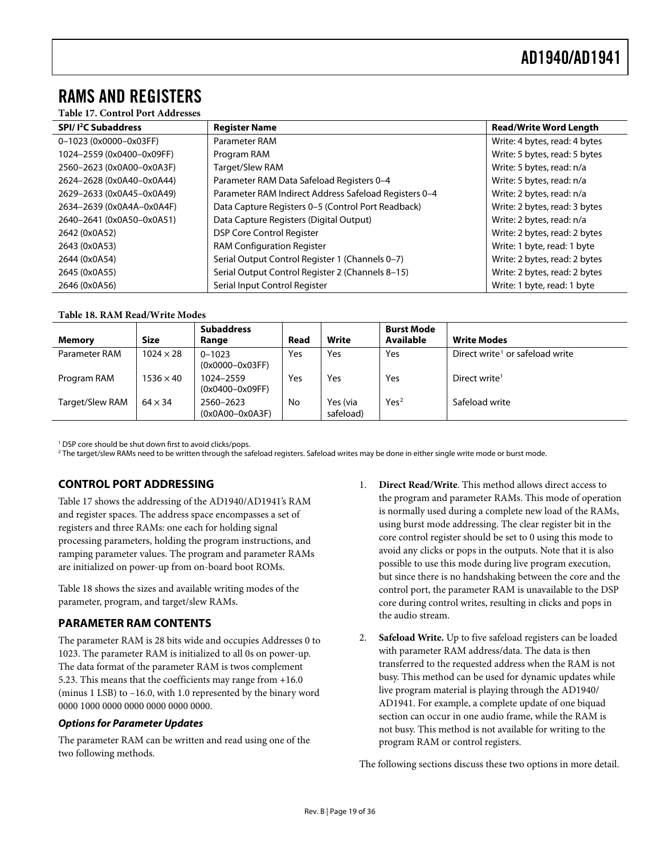## <span id="page-18-0"></span>RAMS AND REGISTERS

#### **Table 17. Control Port Addresses**

<span id="page-18-2"></span>

| SPI/I <sup>2</sup> C Subaddress | <b>Register Name</b>                                  | <b>Read/Write Word Length</b> |
|---------------------------------|-------------------------------------------------------|-------------------------------|
| 0-1023 (0x0000-0x03FF)          | Parameter RAM                                         | Write: 4 bytes, read: 4 bytes |
| 1024-2559 (0x0400-0x09FF)       | Program RAM                                           | Write: 5 bytes, read: 5 bytes |
| 2560-2623 (0x0A00-0x0A3F)       | Target/Slew RAM                                       | Write: 5 bytes, read: n/a     |
| 2624-2628 (0x0A40-0x0A44)       | Parameter RAM Data Safeload Registers 0-4             | Write: 5 bytes, read: n/a     |
| 2629-2633 (0x0A45-0x0A49)       | Parameter RAM Indirect Address Safeload Registers 0-4 | Write: 2 bytes, read: n/a     |
| 2634-2639 (0x0A4A-0x0A4F)       | Data Capture Registers 0-5 (Control Port Readback)    | Write: 2 bytes, read: 3 bytes |
| 2640-2641 (0x0A50-0x0A51)       | Data Capture Registers (Digital Output)               | Write: 2 bytes, read: n/a     |
| 2642 (0x0A52)                   | <b>DSP Core Control Register</b>                      | Write: 2 bytes, read: 2 bytes |
| 2643 (0x0A53)                   | <b>RAM Configuration Register</b>                     | Write: 1 byte, read: 1 byte   |
| 2644 (0x0A54)                   | Serial Output Control Register 1 (Channels 0-7)       | Write: 2 bytes, read: 2 bytes |
| 2645 (0x0A55)                   | Serial Output Control Register 2 (Channels 8-15)      | Write: 2 bytes, read: 2 bytes |
| 2646 (0x0A56)                   | Serial Input Control Register                         | Write: 1 byte, read: 1 byte   |

#### **Table 18. RAM Read/Write Modes**

<span id="page-18-1"></span>

|                 |                  | <b>Subaddress</b>                 |      |                       | <b>Burst Mode</b> |                                             |
|-----------------|------------------|-----------------------------------|------|-----------------------|-------------------|---------------------------------------------|
| Memory          | <b>Size</b>      | Range                             | Read | Write                 | Available         | <b>Write Modes</b>                          |
| Parameter RAM   | $1024 \times 28$ | $0 - 1023$<br>$(0x0000 - 0x03FF)$ | Yes  | Yes                   | Yes               | Direct write <sup>1</sup> or safeload write |
| Program RAM     | $1536 \times 40$ | 1024-2559<br>$(0x0400 - 0x09FF)$  | Yes  | Yes                   | Yes               | Direct write <sup>1</sup>                   |
| Target/Slew RAM | $64 \times 34$   | 2560-2623<br>$(0x0A00-0x0A3F)$    | No   | Yes (via<br>safeload) | Yes <sup>2</sup>  | Safeload write                              |

<sup>1</sup> DSP core should be shut down first to avoid clicks/pops.

2 The target/slew RAMs need to be written through the safeload registers. Safeload writes may be done in either single write mode or burst mode.

## **CONTROL PORT ADDRESSING**

[Table 17](#page-18-2) shows the addressing of the AD1940/AD1941's RAM and register spaces. The address space encompasses a set of registers and three RAMs: one each for holding signal processing parameters, holding the program instructions, and ramping parameter values. The program and parameter RAMs are initialized on power-up from on-board boot ROMs.

Table 18 shows the sizes and available writing modes of the parameter, program, and target/slew RAMs.

## **PARAMETER RAM CONTENTS**

The parameter RAM is 28 bits wide and occupies Addresses 0 to 1023. The parameter RAM is initialized to all 0s on power-up. The data format of the parameter RAM is twos complement 5.23. This means that the coefficients may range from +16.0 (minus 1 LSB) to –16.0, with 1.0 represented by the binary word 0000 1000 0000 0000 0000 0000 0000.

#### **Options for Parameter Updates**

The parameter RAM can be written and read using one of the two following methods.

- 1. **Direct Read/Write**. This method allows direct access to the program and parameter RAMs. This mode of operation is normally used during a complete new load of the RAMs, using burst mode addressing. The clear register bit in the core control register should be set to 0 using this mode to avoid any clicks or pops in the outputs. Note that it is also possible to use this mode during live program execution, but since there is no handshaking between the core and the control port, the parameter RAM is unavailable to the DSP core during control writes, resulting in clicks and pops in the audio stream.
- 2. **Safeload Write.** Up to five safeload registers can be loaded with parameter RAM address/data. The data is then transferred to the requested address when the RAM is not busy. This method can be used for dynamic updates while live program material is playing through the AD1940/ AD1941. For example, a complete update of one biquad section can occur in one audio frame, while the RAM is not busy. This method is not available for writing to the program RAM or control registers.

The following sections discuss these two options in more detail.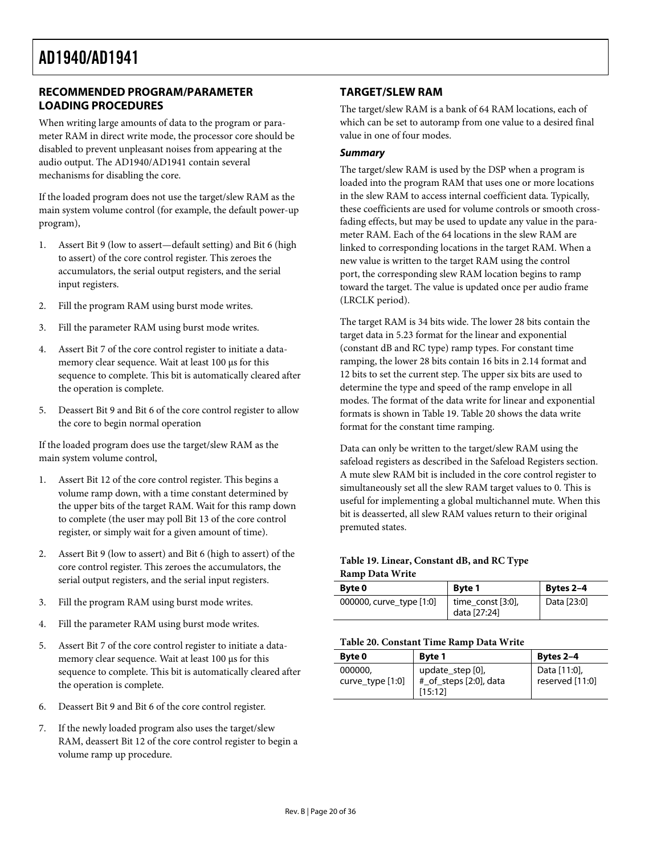## <span id="page-19-0"></span>**RECOMMENDED PROGRAM/PARAMETER LOADING PROCEDURES**

When writing large amounts of data to the program or parameter RAM in direct write mode, the processor core should be disabled to prevent unpleasant noises from appearing at the audio output. The AD1940/AD1941 contain several mechanisms for disabling the core.

If the loaded program does not use the target/slew RAM as the main system volume control (for example, the default power-up program),

- 1. Assert Bit 9 (low to assert—default setting) and Bit 6 (high to assert) of the core control register. This zeroes the accumulators, the serial output registers, and the serial input registers.
- 2. Fill the program RAM using burst mode writes.
- 3. Fill the parameter RAM using burst mode writes.
- 4. Assert Bit 7 of the core control register to initiate a datamemory clear sequence. Wait at least 100 μs for this sequence to complete. This bit is automatically cleared after the operation is complete.
- 5. Deassert Bit 9 and Bit 6 of the core control register to allow the core to begin normal operation

If the loaded program does use the target/slew RAM as the main system volume control,

- 1. Assert Bit 12 of the core control register. This begins a volume ramp down, with a time constant determined by the upper bits of the target RAM. Wait for this ramp down to complete (the user may poll Bit 13 of the core control register, or simply wait for a given amount of time).
- <span id="page-19-1"></span>2. Assert Bit 9 (low to assert) and Bit 6 (high to assert) of the core control register. This zeroes the accumulators, the serial output registers, and the serial input registers.
- 3. Fill the program RAM using burst mode writes.
- 4. Fill the parameter RAM using burst mode writes.
- <span id="page-19-2"></span>5. Assert Bit 7 of the core control register to initiate a datamemory clear sequence. Wait at least 100 μs for this sequence to complete. This bit is automatically cleared after the operation is complete.
- 6. Deassert Bit 9 and Bit 6 of the core control register.
- 7. If the newly loaded program also uses the target/slew RAM, deassert Bit 12 of the core control register to begin a volume ramp up procedure.

## **TARGET/SLEW RAM**

The target/slew RAM is a bank of 64 RAM locations, each of which can be set to autoramp from one value to a desired final value in one of four modes.

#### **Summary**

The target/slew RAM is used by the DSP when a program is loaded into the program RAM that uses one or more locations in the slew RAM to access internal coefficient data. Typically, these coefficients are used for volume controls or smooth crossfading effects, but may be used to update any value in the parameter RAM. Each of the 64 locations in the slew RAM are linked to corresponding locations in the target RAM. When a new value is written to the target RAM using the control port, the corresponding slew RAM location begins to ramp toward the target. The value is updated once per audio frame (LRCLK period).

The target RAM is 34 bits wide. The lower 28 bits contain the target data in 5.23 format for the linear and exponential (constant dB and RC type) ramp types. For constant time ramping, the lower 28 bits contain 16 bits in 2.14 format and 12 bits to set the current step. The upper six bits are used to determine the type and speed of the ramp envelope in all modes. The format of the data write for linear and exponential formats is shown in [Table 19](#page-19-1). [Table 20](#page-19-2) shows the data write format for the constant time ramping.

Data can only be written to the target/slew RAM using the safeload registers as described in the [Safeload Registers](#page-22-2) section. A mute slew RAM bit is included in the core control register to simultaneously set all the slew RAM target values to 0. This is useful for implementing a global multichannel mute. When this bit is deasserted, all slew RAM values return to their original premuted states.

#### **Table 19. Linear, Constant dB, and RC Type Ramp Data Write**

| <b>Byte 0</b>            | <b>Byte 1</b>                         | Bytes 2-4   |
|--------------------------|---------------------------------------|-------------|
| 000000, curve_type [1:0] | $time_{const}$ [3:0],<br>data [27:24] | Data [23:0] |

#### **Table 20. Constant Time Ramp Data Write**

| Byte 0                      | <b>Byte 1</b>                                         | Bytes 2-4                       |  |  |  |  |
|-----------------------------|-------------------------------------------------------|---------------------------------|--|--|--|--|
| 000000.<br>curve_type [1:0] | update_step [0],<br>#_of_steps [2:0], data<br>[15:12] | Data [11:0],<br>reserved [11:0] |  |  |  |  |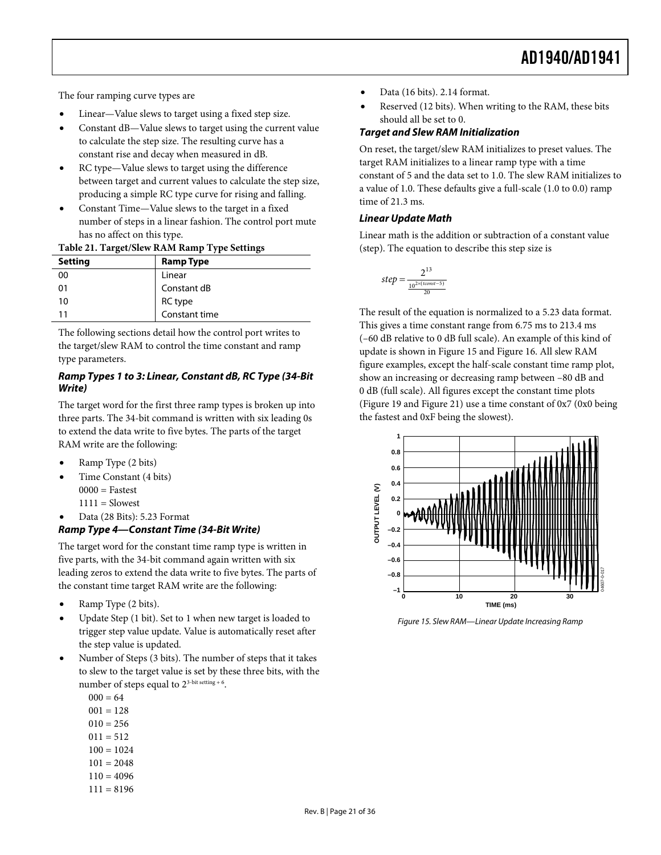The four ramping curve types are

- Linear—Value slews to target using a fixed step size.
- Constant dB—Value slews to target using the current value to calculate the step size. The resulting curve has a constant rise and decay when measured in dB.
- RC type—Value slews to target using the difference between target and current values to calculate the step size, producing a simple RC type curve for rising and falling.
- Constant Time—Value slews to the target in a fixed number of steps in a linear fashion. The control port mute has no affect on this type.

#### **Table 21. Target/Slew RAM Ramp Type Settings**

| <b>Setting</b> | <b>Ramp Type</b>         |
|----------------|--------------------------|
| 00             | Linear                   |
| 01             | Constant dB              |
| 10             | RC type<br>Constant time |
| 11             |                          |

The following sections detail how the control port writes to the target/slew RAM to control the time constant and ramp type parameters.

#### **Ramp Types 1 to 3: Linear, Constant dB, RC Type (34-Bit Write)**

The target word for the first three ramp types is broken up into three parts. The 34-bit command is written with six leading 0s to extend the data write to five bytes. The parts of the target RAM write are the following:

- Ramp Type (2 bits)
- Time Constant (4 bits)  $0000 = \text{Fastest}$  $1111 = Slowest$ 
	-

#### • Data (28 Bits): 5.23 Format **Ramp Type 4—Constant Time (34-Bit Write)**

The target word for the constant time ramp type is written in five parts, with the 34-bit command again written with six leading zeros to extend the data write to five bytes. The parts of the constant time target RAM write are the following:

- Ramp Type (2 bits).
- <span id="page-20-0"></span>• Update Step (1 bit). Set to 1 when new target is loaded to trigger step value update. Value is automatically reset after the step value is updated.
- Number of Steps (3 bits). The number of steps that it takes to slew to the target value is set by these three bits, with the number of steps equal to  $2^{3-bit \text{ setting } + 6}$ .
	- $000 = 64$  $001 = 128$
	- $010 = 256$
	- $011 = 512$
	- $100 = 1024$
	- $101 = 2048$
	- $110 = 4096$
	- $111 = 8196$
- Data (16 bits). 2.14 format.
- Reserved (12 bits). When writing to the RAM, these bits should all be set to 0.

#### **Target and Slew RAM Initialization**

On reset, the target/slew RAM initializes to preset values. The target RAM initializes to a linear ramp type with a time constant of 5 and the data set to 1.0. The slew RAM initializes to a value of 1.0. These defaults give a full-scale (1.0 to 0.0) ramp time of 21.3 ms.

#### **Linear Update Math**

Linear math is the addition or subtraction of a constant value (step). The equation to describe this step size is

$$
step = \frac{2^{13}}{\frac{10^{2 \times (t const - 5)}}{20}}
$$

The result of the equation is normalized to a 5.23 data format. This gives a time constant range from 6.75 ms to 213.4 ms (–60 dB relative to 0 dB full scale). An example of this kind of update is shown in [Figure 15](#page-20-0) and [Figure 16.](#page-21-0) All slew RAM figure examples, except the half-scale constant time ramp plot, show an increasing or decreasing ramp between –80 dB and 0 dB (full scale). All figures except the constant time plots [\(Figure 19](#page-21-1) and [Figure 21](#page-22-3)) use a time constant of 0x7 (0x0 being the fastest and 0xF being the slowest).



Figure 15. Slew RAM—Linear Update Increasing Ramp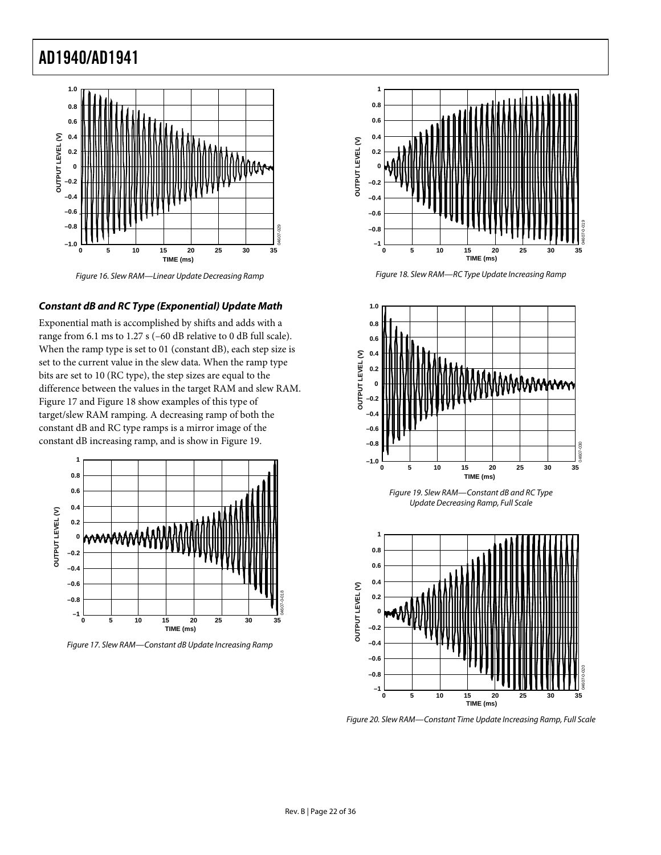

Figure 16. Slew RAM—Linear Update Decreasing Ramp

#### <span id="page-21-3"></span><span id="page-21-0"></span>**Constant dB and RC Type (Exponential) Update Math**

Exponential math is accomplished by shifts and adds with a range from 6.1 ms to 1.27 s (–60 dB relative to 0 dB full scale). When the ramp type is set to 01 (constant dB), each step size is set to the current value in the slew data. When the ramp type bits are set to 10 (RC type), the step sizes are equal to the difference between the values in the target RAM and slew RAM. [Figure 17](#page-21-2) and [Figure 18](#page-21-3) show examples of this type of target/slew RAM ramping. A decreasing ramp of both the constant dB and RC type ramps is a mirror image of the constant dB increasing ramp, and is show in [Figure 19](#page-21-1).

<span id="page-21-1"></span>

<span id="page-21-4"></span><span id="page-21-2"></span>Figure 17. Slew RAM—Constant dB Update Increasing Ramp



Figure 18. Slew RAM—RC Type Update Increasing Ramp



Figure 19. Slew RAM—Constant dB and RC Type Update Decreasing Ramp, Full Scale



Figure 20. Slew RAM—Constant Time Update Increasing Ramp, Full Scale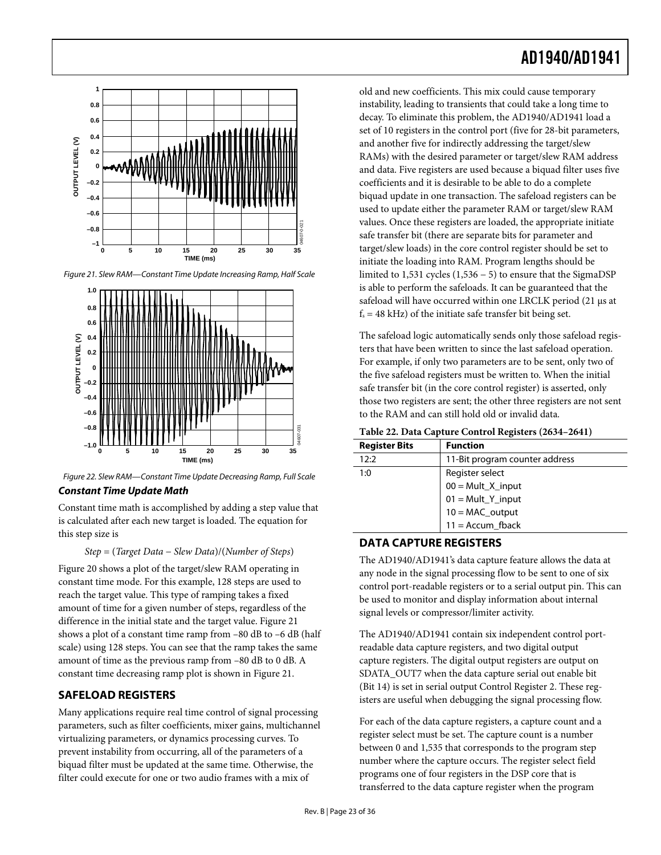<span id="page-22-0"></span>

<span id="page-22-3"></span>Figure 21. Slew RAM—Constant Time Update Increasing Ramp, Half Scale



Figure 22. Slew RAM—Constant Time Update Decreasing Ramp, Full Scale **Constant Time Update Math** 

Constant time math is accomplished by adding a step value that is calculated after each new target is loaded. The equation for this step size is

*Step* = (*Target Data* − *Slew Data*)/(*Number of Steps*)

<span id="page-22-1"></span>[Figure 20](#page-21-4) shows a plot of the target/slew RAM operating in constant time mode. For this example, 128 steps are used to reach the target value. This type of ramping takes a fixed amount of time for a given number of steps, regardless of the difference in the initial state and the target value. [Figure 21](#page-22-3) shows a plot of a constant time ramp from –80 dB to –6 dB (half scale) using 128 steps. You can see that the ramp takes the same amount of time as the previous ramp from –80 dB to 0 dB. A constant time decreasing ramp plot is shown in [Figure 21](#page-22-3).

## <span id="page-22-2"></span>**SAFELOAD REGISTERS**

Many applications require real time control of signal processing parameters, such as filter coefficients, mixer gains, multichannel virtualizing parameters, or dynamics processing curves. To prevent instability from occurring, all of the parameters of a biquad filter must be updated at the same time. Otherwise, the filter could execute for one or two audio frames with a mix of

old and new coefficients. This mix could cause temporary instability, leading to transients that could take a long time to decay. To eliminate this problem, the AD1940/AD1941 load a set of 10 registers in the control port (five for 28-bit parameters, and another five for indirectly addressing the target/slew RAMs) with the desired parameter or target/slew RAM address and data. Five registers are used because a biquad filter uses five coefficients and it is desirable to be able to do a complete biquad update in one transaction. The safeload registers can be used to update either the parameter RAM or target/slew RAM values. Once these registers are loaded, the appropriate initiate safe transfer bit (there are separate bits for parameter and target/slew loads) in the core control register should be set to initiate the loading into RAM. Program lengths should be limited to 1,531 cycles (1,536 − 5) to ensure that the SigmaDSP is able to perform the safeloads. It can be guaranteed that the safeload will have occurred within one LRCLK period (21 μs at  $f_s = 48$  kHz) of the initiate safe transfer bit being set.

The safeload logic automatically sends only those safeload registers that have been written to since the last safeload operation. For example, if only two parameters are to be sent, only two of the five safeload registers must be written to. When the initial safe transfer bit (in the core control register) is asserted, only those two registers are sent; the other three registers are not sent to the RAM and can still hold old or invalid data.

| <b>Register Bits</b> | <b>Function</b>                |  |  |
|----------------------|--------------------------------|--|--|
| 12:2                 | 11-Bit program counter address |  |  |
| 1:0                  | Register select                |  |  |
|                      | $00 = Mult_X$ _input           |  |  |
|                      | $01 = Mult_Y$ _input           |  |  |
|                      | $10 = MAC_output$              |  |  |
|                      | $11 =$ Accum_fback             |  |  |

## **DATA CAPTURE REGISTERS**

The AD1940/AD1941's data capture feature allows the data at any node in the signal processing flow to be sent to one of six control port-readable registers or to a serial output pin. This can be used to monitor and display information about internal signal levels or compressor/limiter activity.

The AD1940/AD1941 contain six independent control portreadable data capture registers, and two digital output capture registers. The digital output registers are output on SDATA\_OUT7 when the data capture serial out enable bit (Bit 14) is set in serial output Control Register 2. These registers are useful when debugging the signal processing flow.

For each of the data capture registers, a capture count and a register select must be set. The capture count is a number between 0 and 1,535 that corresponds to the program step number where the capture occurs. The register select field programs one of four registers in the DSP core that is transferred to the data capture register when the program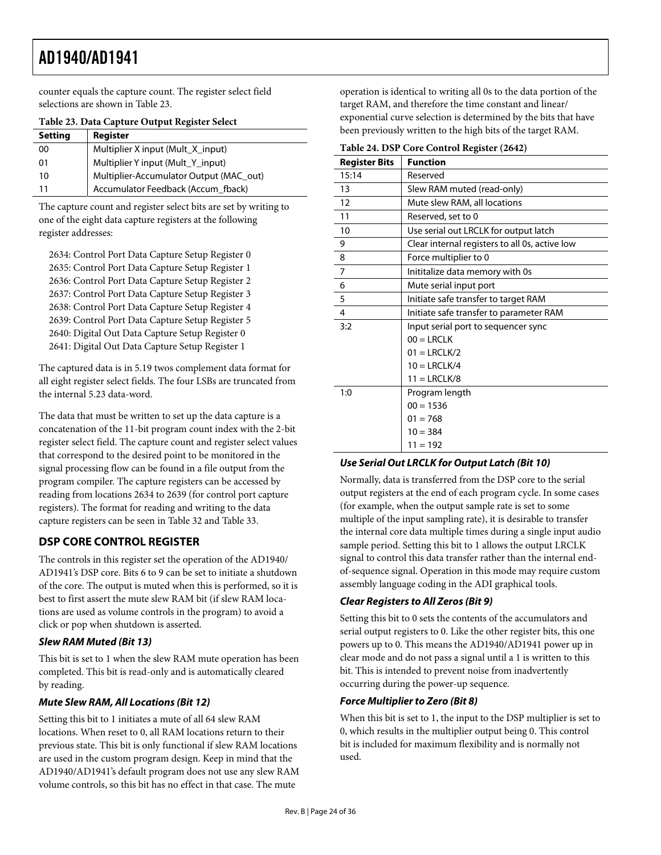<span id="page-23-0"></span>counter equals the capture count. The register select field selections are shown in [Table 23](#page-23-1).

<span id="page-23-1"></span>

| <b>Setting</b> | Register                                |
|----------------|-----------------------------------------|
| 00             | Multiplier X input (Mult_X_input)       |
| 01             | Multiplier Y input (Mult_Y_input)       |
| 10             | Multiplier-Accumulator Output (MAC_out) |
| 11             | Accumulator Feedback (Accum_fback)      |

**Table 23. Data Capture Output Register Select** 

The capture count and register select bits are set by writing to one of the eight data capture registers at the following register addresses:

2634: Control Port Data Capture Setup Register 0 2635: Control Port Data Capture Setup Register 1 2636: Control Port Data Capture Setup Register 2 2637: Control Port Data Capture Setup Register 3 2638: Control Port Data Capture Setup Register 4 2639: Control Port Data Capture Setup Register 5 2640: Digital Out Data Capture Setup Register 0 2641: Digital Out Data Capture Setup Register 1

The captured data is in 5.19 twos complement data format for all eight register select fields. The four LSBs are truncated from the internal 5.23 data-word.

The data that must be written to set up the data capture is a concatenation of the 11-bit program count index with the 2-bit register select field. The capture count and register select values that correspond to the desired point to be monitored in the signal processing flow can be found in a file output from the program compiler. The capture registers can be accessed by reading from locations 2634 to 2639 (for control port capture registers). The format for reading and writing to the data capture registers can be seen in [Table 32](#page-26-1) and [Table 33](#page-26-2).

## **DSP CORE CONTROL REGISTER**

The controls in this register set the operation of the AD1940/ AD1941's DSP core. Bits 6 to 9 can be set to initiate a shutdown of the core. The output is muted when this is performed, so it is best to first assert the mute slew RAM bit (if slew RAM locations are used as volume controls in the program) to avoid a click or pop when shutdown is asserted.

## **Slew RAM Muted (Bit 13)**

This bit is set to 1 when the slew RAM mute operation has been completed. This bit is read-only and is automatically cleared by reading.

## **Mute Slew RAM, All Locations (Bit 12)**

Setting this bit to 1 initiates a mute of all 64 slew RAM locations. When reset to 0, all RAM locations return to their previous state. This bit is only functional if slew RAM locations are used in the custom program design. Keep in mind that the AD1940/AD1941's default program does not use any slew RAM volume controls, so this bit has no effect in that case. The mute

operation is identical to writing all 0s to the data portion of the target RAM, and therefore the time constant and linear/ exponential curve selection is determined by the bits that have been previously written to the high bits of the target RAM.

|                      | radic 24. Dor Core control Register (2042)     |
|----------------------|------------------------------------------------|
| <b>Register Bits</b> | <b>Function</b>                                |
| 15:14                | Reserved                                       |
| 13                   | Slew RAM muted (read-only)                     |
| 12                   | Mute slew RAM, all locations                   |
| 11                   | Reserved, set to 0                             |
| 10                   | Use serial out LRCLK for output latch          |
| 9                    | Clear internal registers to all 0s, active low |
| 8                    | Force multiplier to 0                          |
| $\overline{7}$       | Inititalize data memory with 0s                |
| 6                    | Mute serial input port                         |
| 5                    | Initiate safe transfer to target RAM           |
| $\overline{4}$       | Initiate safe transfer to parameter RAM        |
| 3:2                  | Input serial port to sequencer sync            |
|                      | $00 = LRCLK$                                   |
|                      | $01 = LRCLK/2$                                 |
|                      | $10 = LRCLK/4$                                 |
|                      | $11 = LRCLK/8$                                 |
| 1:0                  | Program length                                 |
|                      | $00 = 1536$                                    |
|                      | $01 = 768$                                     |
|                      | $10 = 384$                                     |
|                      | $11 = 192$                                     |

#### **Table 24. DSP Core Control Register (2642)**

## **Use Serial Out LRCLK for Output Latch (Bit 10)**

Normally, data is transferred from the DSP core to the serial output registers at the end of each program cycle. In some cases (for example, when the output sample rate is set to some multiple of the input sampling rate), it is desirable to transfer the internal core data multiple times during a single input audio sample period. Setting this bit to 1 allows the output LRCLK signal to control this data transfer rather than the internal endof-sequence signal. Operation in this mode may require custom assembly language coding in the ADI graphical tools.

#### **Clear Registers to All Zeros (Bit 9)**

Setting this bit to 0 sets the contents of the accumulators and serial output registers to 0. Like the other register bits, this one powers up to 0. This means the AD1940/AD1941 power up in clear mode and do not pass a signal until a 1 is written to this bit. This is intended to prevent noise from inadvertently occurring during the power-up sequence.

#### **Force Multiplier to Zero (Bit 8)**

When this bit is set to 1, the input to the DSP multiplier is set to 0, which results in the multiplier output being 0. This control bit is included for maximum flexibility and is normally not used.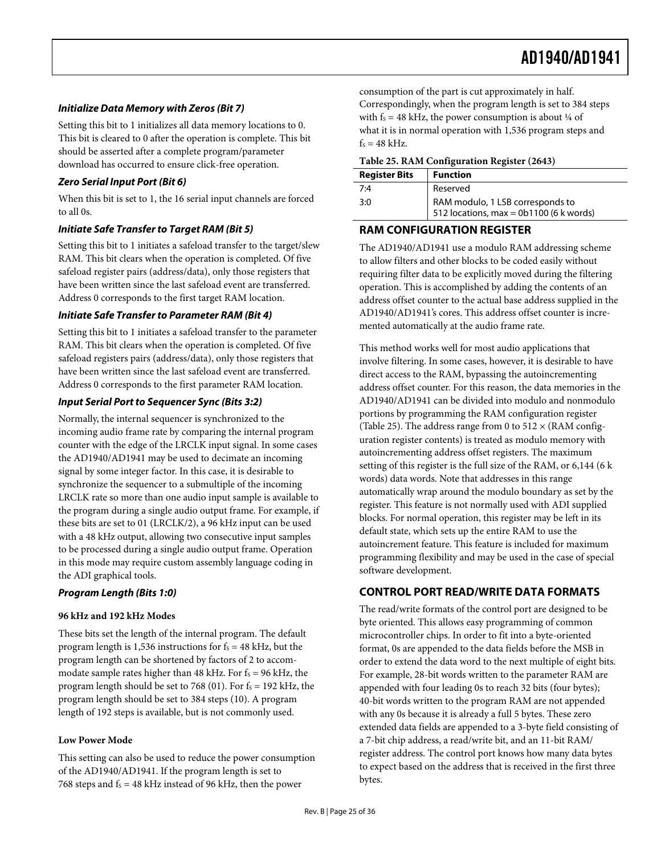#### <span id="page-24-0"></span>**Initialize Data Memory with Zeros (Bit 7)**

Setting this bit to 1 initializes all data memory locations to 0. This bit is cleared to 0 after the operation is complete. This bit should be asserted after a complete program/parameter download has occurred to ensure click-free operation.

#### <span id="page-24-2"></span>**Zero Serial Input Port (Bit 6)**

When this bit is set to 1, the 16 serial input channels are forced to all 0s.

## **Initiate Safe Transfer to Target RAM (Bit 5)**

Setting this bit to 1 initiates a safeload transfer to the target/slew RAM. This bit clears when the operation is completed. Of five safeload register pairs (address/data), only those registers that have been written since the last safeload event are transferred. Address 0 corresponds to the first target RAM location.

#### **Initiate Safe Transfer to Parameter RAM (Bit 4)**

Setting this bit to 1 initiates a safeload transfer to the parameter RAM. This bit clears when the operation is completed. Of five safeload registers pairs (address/data), only those registers that have been written since the last safeload event are transferred. Address 0 corresponds to the first parameter RAM location.

#### **Input Serial Port to Sequencer Sync (Bits 3:2)**

Normally, the internal sequencer is synchronized to the incoming audio frame rate by comparing the internal program counter with the edge of the LRCLK input signal. In some cases the AD1940/AD1941 may be used to decimate an incoming signal by some integer factor. In this case, it is desirable to synchronize the sequencer to a submultiple of the incoming LRCLK rate so more than one audio input sample is available to the program during a single audio output frame. For example, if these bits are set to 01 (LRCLK/2), a 96 kHz input can be used with a 48 kHz output, allowing two consecutive input samples to be processed during a single audio output frame. Operation in this mode may require custom assembly language coding in the ADI graphical tools.

#### <span id="page-24-1"></span>**Program Length (Bits 1:0)**

#### **96 kHz and 192 kHz Modes**

These bits set the length of the internal program. The default program length is 1,536 instructions for  $f_s = 48$  kHz, but the program length can be shortened by factors of 2 to accommodate sample rates higher than 48 kHz. For  $f_s = 96$  kHz, the program length should be set to 768 (01). For  $f_s = 192$  kHz, the program length should be set to 384 steps (10). A program length of 192 steps is available, but is not commonly used.

#### **Low Power Mode**

This setting can also be used to reduce the power consumption of the AD1940/AD1941. If the program length is set to 768 steps and  $f_s = 48$  kHz instead of 96 kHz, then the power

consumption of the part is cut approximately in half. Correspondingly, when the program length is set to 384 steps with  $f_s = 48$  kHz, the power consumption is about  $\frac{1}{4}$  of what it is in normal operation with 1,536 program steps and  $f_s = 48$  kHz.

#### **Table 25. RAM Configuration Register (2643)**

| <b>Register Bits</b> | <b>Function</b>                         |
|----------------------|-----------------------------------------|
| 7:4                  | Reserved                                |
| 3:0                  | RAM modulo, 1 LSB corresponds to        |
|                      | 512 locations, max = 0b1100 (6 k words) |

### **RAM CONFIGURATION REGISTER**

The AD1940/AD1941 use a modulo RAM addressing scheme to allow filters and other blocks to be coded easily without requiring filter data to be explicitly moved during the filtering operation. This is accomplished by adding the contents of an address offset counter to the actual base address supplied in the AD1940/AD1941's cores. This address offset counter is incremented automatically at the audio frame rate.

This method works well for most audio applications that involve filtering. In some cases, however, it is desirable to have direct access to the RAM, bypassing the autoincrementing address offset counter. For this reason, the data memories in the AD1940/AD1941 can be divided into modulo and nonmodulo portions by programming the RAM configuration register [\(Table 25](#page-24-2)). The address range from 0 to  $512 \times (RAM \text{ config-}$ uration register contents) is treated as modulo memory with autoincrementing address offset registers. The maximum setting of this register is the full size of the RAM, or 6,144 (6 k words) data words. Note that addresses in this range automatically wrap around the modulo boundary as set by the register. This feature is not normally used with ADI supplied blocks. For normal operation, this register may be left in its default state, which sets up the entire RAM to use the autoincrement feature. This feature is included for maximum programming flexibility and may be used in the case of special software development.

#### **CONTROL PORT READ/WRITE DATA FORMATS**

The read/write formats of the control port are designed to be byte oriented. This allows easy programming of common microcontroller chips. In order to fit into a byte-oriented format, 0s are appended to the data fields before the MSB in order to extend the data word to the next multiple of eight bits. For example, 28-bit words written to the parameter RAM are appended with four leading 0s to reach 32 bits (four bytes); 40-bit words written to the program RAM are not appended with any 0s because it is already a full 5 bytes. These zero extended data fields are appended to a 3-byte field consisting of a 7-bit chip address, a read/write bit, and an 11-bit RAM/ register address. The control port knows how many data bytes to expect based on the address that is received in the first three bytes.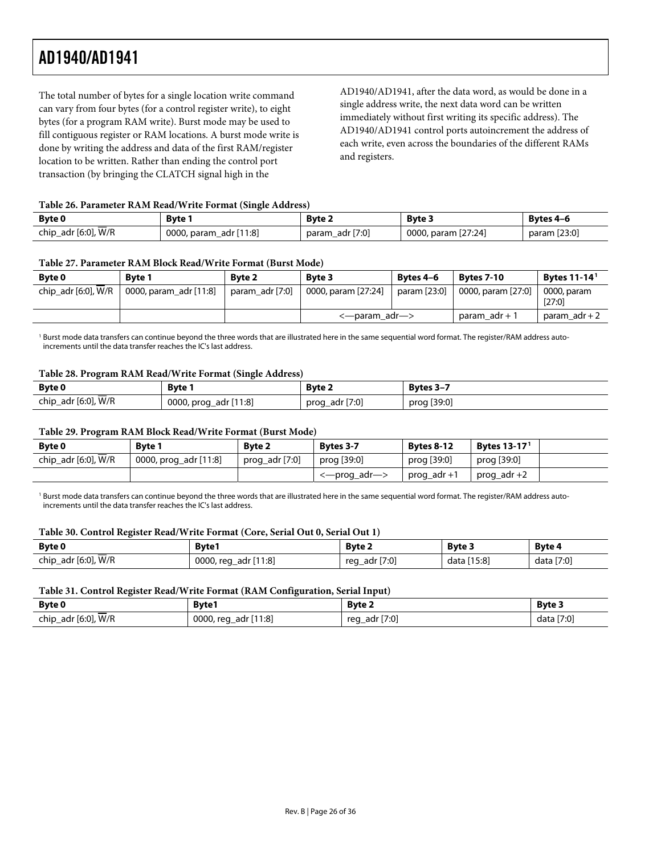The total number of bytes for a single location write command can vary from four bytes (for a control register write), to eight bytes (for a program RAM write). Burst mode may be used to fill contiguous register or RAM locations. A burst mode write is done by writing the address and data of the first RAM/register location to be written. Rather than ending the control port transaction (by bringing the CLATCH signal high in the

AD1940/AD1941, after the data word, as would be done in a single address write, the next data word can be written immediately without first writing its specific address). The AD1940/AD1941 control ports autoincrement the address of each write, even across the boundaries of the different RAMs and registers.

#### **Table 26. Parameter RAM Read/Write Format (Single Address)**

<span id="page-25-0"></span>

| <b>Byte 0</b>       | Bvte i                         | <b>Byte 2</b>         | <b>Byte 3</b>       | Bytes 4-6    |
|---------------------|--------------------------------|-----------------------|---------------------|--------------|
| chip_adr [6:0], W/R | [11:8]<br>0000, param<br>adr l | [7:0]<br>param<br>adr | 0000, param [27:24] | param [23:0] |

#### **Table 27. Parameter RAM Block Read/Write Format (Burst Mode)**

| <b>Byte 0</b>       | <b>Byte 1</b>          | Byte 2          | <b>Byte 3</b>       | Bytes 4-6    | <b>Bytes 7-10</b>  | <b>Bytes 11-14<sup>1</sup></b> |
|---------------------|------------------------|-----------------|---------------------|--------------|--------------------|--------------------------------|
| chip_adr [6:0], W/R | 0000, param_adr [11:8] | param_adr [7:0] | 0000, param [27:24] | param [23:0] | 0000, param [27:0] | 0000, param<br>[27:0]          |
|                     |                        |                 | <—param_adr—>       |              | param_adr + 1      | param $adr + 2$                |

<span id="page-25-1"></span>1 Burst mode data transfers can continue beyond the three words that are illustrated here in the same sequential word format. The register/RAM address autoincrements until the data transfer reaches the IC's last address.

#### **Table 28. Program RAM Read/Write Format (Single Address)**

| <b>Byte 0</b>       | Bvte 1                                | <b>Byte 2</b>     | Bytes 3-7   |
|---------------------|---------------------------------------|-------------------|-------------|
| chip_adr [6:0], W/R | 0000, prog<br>$\cdot$ [11:8]<br>adr I | adr [7:0]<br>prog | prog [39:0] |

#### **Table 29. Program RAM Block Read/Write Format (Burst Mode)**

| Byte 0              | <b>Byte 1</b>         | <b>Byte 2</b>  | Bytes 3-7    | <b>Bytes 8-12</b> | <b>Bytes 13-17<sup>1</sup></b> |  |
|---------------------|-----------------------|----------------|--------------|-------------------|--------------------------------|--|
| chip_adr [6:0], W/R | 0000, prog_adr [11:8] | prog_adr [7:0] | prog [39:0]  | prog [39:0]       | prog [39:0]                    |  |
|                     |                       |                | <—prog_adr—> | prog_adr +1       | prog_adr +2                    |  |

<sup>1</sup> Burst mode data transfers can continue beyond the three words that are illustrated here in the same sequential word format. The register/RAM address autoincrements until the data transfer reaches the IC's last address.

#### **Table 30. Control Register Read/Write Format (Core, Serial Out 0, Serial Out 1)**

| Byte 0              | <b>Byte1</b>                  | Byte 2              | <b>Byte 3</b>  | Byte 4     |
|---------------------|-------------------------------|---------------------|----------------|------------|
| chip_adr [6:0], W/R | 111:8 '<br>0000, req<br>adr I | [7:0]<br>adr<br>reg | [15:8]<br>data | data [7:0] |

#### **Table 31. Control Register Read/Write Format (RAM Configuration, Serial Input)**

| Byte 0              | <b>Byte1</b>                   | <b>Byte 2</b>       | <b>Byte 3</b> |
|---------------------|--------------------------------|---------------------|---------------|
| chip_adr [6:0], W/R | r [11:8]<br>0000, reg<br>adr I | [7:0]<br>adr<br>reg | [7:0]<br>data |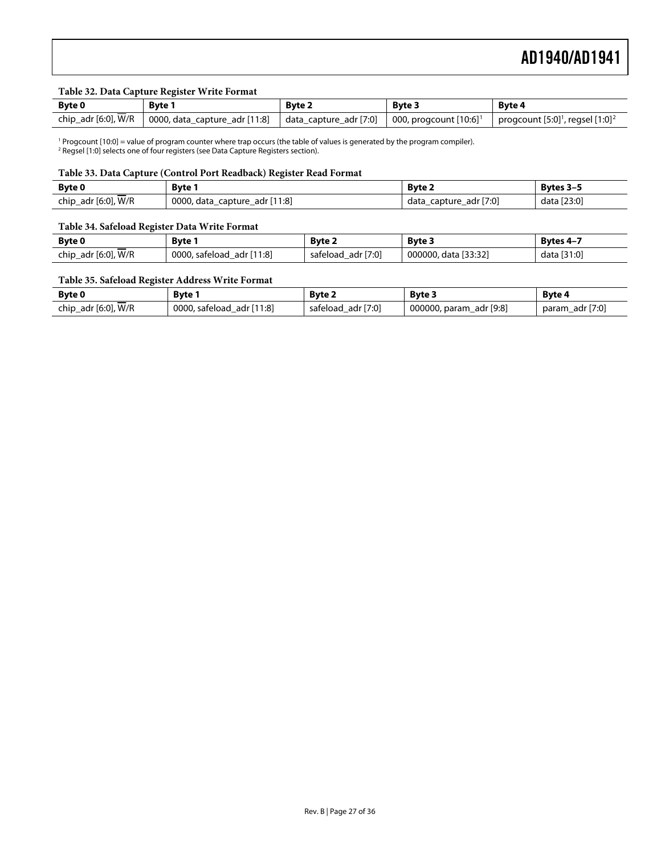#### **Table 32. Data Capture Register Write Format**

<span id="page-26-1"></span>

| Byte 0              | <b>Byte 1</b>                                                                               | <b>Byte 2</b> | <b>Byte 3</b> | Byte 4                                                       |
|---------------------|---------------------------------------------------------------------------------------------|---------------|---------------|--------------------------------------------------------------|
| chip_adr [6:0], W/R | 0000, data_capture_adr [11:8]   data_capture_adr [7:0]   000, progcount [10:6] <sup>1</sup> |               |               | progcount $[5:0]$ <sup>1</sup> , regsel $[1:0]$ <sup>2</sup> |

<span id="page-26-3"></span><sup>1</sup> Progcount [10:0] = value of program counter where trap occurs (the table of values is generated by the program compiler).<br><sup>2</sup> Regsel [1:0] selects one of four registers (see Data Capture Registers section).

#### **Table 33. Data Capture (Control Port Readback) Register Read Format**

<span id="page-26-2"></span>

| <b>Byte 0</b>                  | Bvte 1                                      | <b>Byte 2</b>                     | Bytes 3-5   |
|--------------------------------|---------------------------------------------|-----------------------------------|-------------|
| $-$<br>_adr [6:0], W/R<br>chip | r [11:8]<br>0000,<br>data<br>adr<br>capture | adr [7:0]<br>capture<br>data<br>– | data [23:0] |

#### **Table 34. Safeload Register Data Write Format**

| <b>Byte 0</b>       | Byte                      | <b>Byte 2</b>         | Byte 3               | <b>Bytes 4-7</b> |
|---------------------|---------------------------|-----------------------|----------------------|------------------|
| chip_adr [6:0], W/R | 0000, safeload adr [11:8] | adr [7:0]<br>safeload | 000000, data [33:32] | data [31:0]      |

#### **Table 35. Safeload Register Address Write Format**

<span id="page-26-0"></span>

| Byte 0                                | Bvte .                                             | <b>Byte 2</b>            | <b>Byte 3</b>                   | Byte 4                        |
|---------------------------------------|----------------------------------------------------|--------------------------|---------------------------------|-------------------------------|
| W/R<br>$\cdot$ [6:0],<br>chip_<br>adr | $\lceil 11:8 \rceil$<br>0000,<br>safeload<br>adr ' | [7:0]<br>adr<br>safeload | r [9:8]<br>000000, param<br>adr | $\cdot$ [7:0]<br>adr<br>param |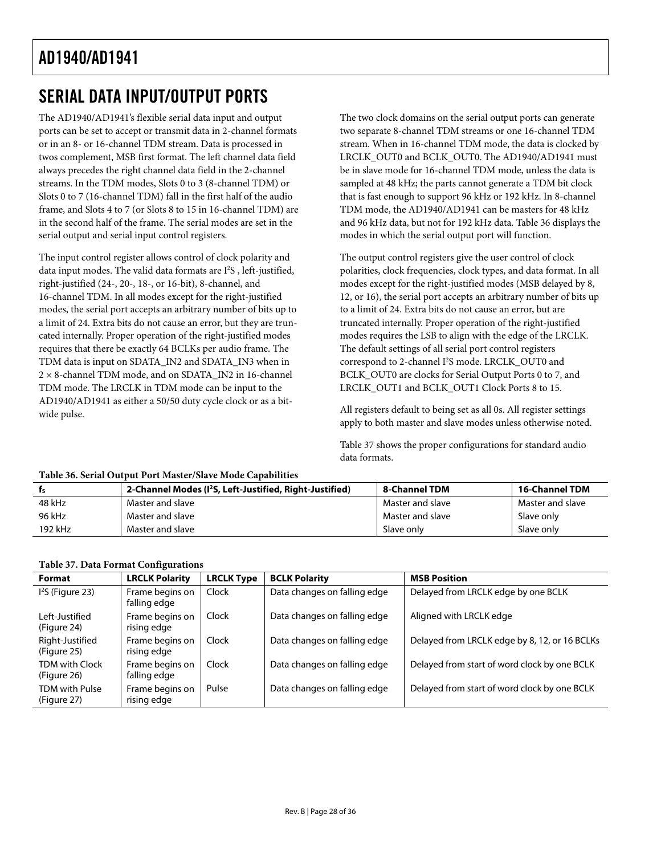# <span id="page-27-1"></span><span id="page-27-0"></span>SERIAL DATA INPUT/OUTPUT PORTS

The AD1940/AD1941's flexible serial data input and output ports can be set to accept or transmit data in 2-channel formats or in an 8- or 16-channel TDM stream. Data is processed in twos complement, MSB first format. The left channel data field always precedes the right channel data field in the 2-channel streams. In the TDM modes, Slots 0 to 3 (8-channel TDM) or Slots 0 to 7 (16-channel TDM) fall in the first half of the audio frame, and Slots 4 to 7 (or Slots 8 to 15 in 16-channel TDM) are in the second half of the frame. The serial modes are set in the serial output and serial input control registers.

The input control register allows control of clock polarity and data input modes. The valid data formats are I<sup>2</sup>S, left-justified, right-justified (24-, 20-, 18-, or 16-bit), 8-channel, and 16-channel TDM. In all modes except for the right-justified modes, the serial port accepts an arbitrary number of bits up to a limit of 24. Extra bits do not cause an error, but they are truncated internally. Proper operation of the right-justified modes requires that there be exactly 64 BCLKs per audio frame. The TDM data is input on SDATA\_IN2 and SDATA\_IN3 when in 2 × 8-channel TDM mode, and on SDATA\_IN2 in 16-channel TDM mode. The LRCLK in TDM mode can be input to the AD1940/AD1941 as either a 50/50 duty cycle clock or as a bitwide pulse.

The two clock domains on the serial output ports can generate two separate 8-channel TDM streams or one 16-channel TDM stream. When in 16-channel TDM mode, the data is clocked by LRCLK\_OUT0 and BCLK\_OUT0. The AD1940/AD1941 must be in slave mode for 16-channel TDM mode, unless the data is sampled at 48 kHz; the parts cannot generate a TDM bit clock that is fast enough to support 96 kHz or 192 kHz. In 8-channel TDM mode, the AD1940/AD1941 can be masters for 48 kHz and 96 kHz data, but not for 192 kHz data. [Table 36](#page-27-2) displays the modes in which the serial output port will function.

The output control registers give the user control of clock polarities, clock frequencies, clock types, and data format. In all modes except for the right-justified modes (MSB delayed by 8, 12, or 16), the serial port accepts an arbitrary number of bits up to a limit of 24. Extra bits do not cause an error, but are truncated internally. Proper operation of the right-justified modes requires the LSB to align with the edge of the LRCLK. The default settings of all serial port control registers correspond to 2-channel I<sup>2</sup>S mode. LRCLK\_OUT0 and BCLK\_OUT0 are clocks for Serial Output Ports 0 to 7, and LRCLK\_OUT1 and BCLK\_OUT1 Clock Ports 8 to 15.

All registers default to being set as all 0s. All register settings apply to both master and slave modes unless otherwise noted.

[Table 37](#page-27-3) shows the proper configurations for standard audio data formats.

<span id="page-27-2"></span>

|         | 2-Channel Modes (I <sup>2</sup> S, Left-Justified, Right-Justified) | 8-Channel TDM    | <b>16-Channel TDM</b> |
|---------|---------------------------------------------------------------------|------------------|-----------------------|
| 48 kHz  | Master and slave                                                    | Master and slave | Master and slave      |
| 96 kHz  | Master and slave                                                    | Master and slave | Slave only            |
| 192 kHz | Master and slave                                                    | Slave only       | Slave only            |

## **Table 36. Serial Output Port Master/Slave Mode Capabilities**

## **Table 37. Data Format Configurations**

<span id="page-27-3"></span>

| <b>Format</b>                        | <b>LRCLK Polarity</b>           | <b>LRCLK Type</b> | <b>BCLK Polarity</b>         | <b>MSB Position</b>                           |
|--------------------------------------|---------------------------------|-------------------|------------------------------|-----------------------------------------------|
| $I2S$ (Figure 23)                    | Frame begins on<br>falling edge | Clock             | Data changes on falling edge | Delayed from LRCLK edge by one BCLK           |
| Left-Justified<br>(Figure 24)        | Frame begins on<br>rising edge  | Clock             | Data changes on falling edge | Aligned with LRCLK edge                       |
| Right-Justified<br>(Figure 25)       | Frame begins on<br>rising edge  | Clock             | Data changes on falling edge | Delayed from LRCLK edge by 8, 12, or 16 BCLKs |
| <b>TDM with Clock</b><br>(Figure 26) | Frame begins on<br>falling edge | Clock             | Data changes on falling edge | Delayed from start of word clock by one BCLK  |
| TDM with Pulse<br>(Figure 27)        | Frame begins on<br>rising edge  | Pulse             | Data changes on falling edge | Delayed from start of word clock by one BCLK  |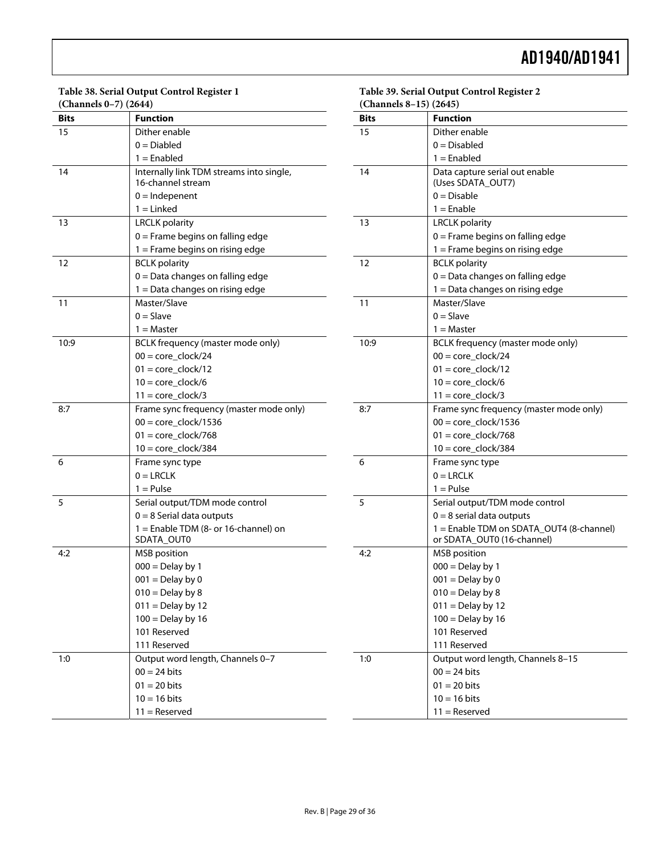#### **Table 38. Serial Output Control Register 1 (Channels 0–7) (2644)**

| <b>Bits</b> | <b>Function</b>                          | <b>Bits</b> |
|-------------|------------------------------------------|-------------|
| 15          | Dither enable                            | 15          |
|             | $0 = Diabled$                            |             |
|             | $1 =$ Enabled                            |             |
| 14          | Internally link TDM streams into single, | 14          |
|             | 16-channel stream                        |             |
|             | $0 =$ Indepenent                         |             |
|             | $1 =$ Linked                             |             |
| 13          | <b>LRCLK</b> polarity                    | 13          |
|             | $0 =$ Frame begins on falling edge       |             |
|             | $1 =$ Frame begins on rising edge        |             |
| 12          | <b>BCLK</b> polarity                     | 12          |
|             | $0 = Data$ changes on falling edge       |             |
|             | 1 = Data changes on rising edge          |             |
| 11          | Master/Slave                             | 11          |
|             | $0 =$ Slave                              |             |
|             | $1 = Master$                             |             |
| 10:9        | BCLK frequency (master mode only)        | 10:9        |
|             | $00 = core\_clock/24$                    |             |
|             | $01 = core\_clock/12$                    |             |
|             | $10 = core\_clock/6$                     |             |
|             | $11 = core\_clock/3$                     |             |
| 8:7         | Frame sync frequency (master mode only)  | 8:7         |
|             | $00 = core\_clock/1536$                  |             |
|             | $01 = core\_clock/768$                   |             |
|             | $10 = core\_clock/384$                   |             |
| 6           | Frame sync type                          | 6           |
|             | $0 = LRCLK$                              |             |
|             | $1 =$ Pulse                              |             |
| 5           | Serial output/TDM mode control           | 5           |
|             | $0 = 8$ Serial data outputs              |             |
|             | 1 = Enable TDM (8- or 16-channel) on     |             |
|             | SDATA_OUT0                               |             |
| 4:2         | <b>MSB</b> position                      | 4:2         |
|             | $000 =$ Delay by 1                       |             |
|             | $001 =$ Delay by 0                       |             |
|             | $010 =$ Delay by 8                       |             |
|             | $011 =$ Delay by 12                      |             |
|             | $100 =$ Delay by 16                      |             |
|             | 101 Reserved                             |             |
|             | 111 Reserved                             |             |
| 1:0         | Output word length, Channels 0-7         | 1:0         |
|             | $00 = 24$ bits                           |             |
|             | $01 = 20$ bits                           |             |
|             | $10 = 16$ bits                           |             |
|             | $11 =$ Reserved                          |             |

| (Channels 8-15) (2645) |                                          |  |  |  |
|------------------------|------------------------------------------|--|--|--|
| <b>Bits</b>            | <b>Function</b>                          |  |  |  |
| 15                     | Dither enable                            |  |  |  |
|                        | $0 = Disabled$                           |  |  |  |
|                        | $1 =$ Enabled                            |  |  |  |
| 14                     | Data capture serial out enable           |  |  |  |
|                        | (Uses SDATA_OUT7)                        |  |  |  |
|                        | $0 = Disable$                            |  |  |  |
|                        | $1 =$ Enable                             |  |  |  |
| 13                     | <b>LRCLK</b> polarity                    |  |  |  |
|                        | $0 =$ Frame begins on falling edge       |  |  |  |
|                        | 1 = Frame begins on rising edge          |  |  |  |
| 12                     | <b>BCLK</b> polarity                     |  |  |  |
|                        | $0 = Data$ changes on falling edge       |  |  |  |
|                        | 1 = Data changes on rising edge          |  |  |  |
| 11                     | Master/Slave                             |  |  |  |
|                        | $0 =$ Slave                              |  |  |  |
|                        | $1 = Master$                             |  |  |  |
| 10:9                   | BCLK frequency (master mode only)        |  |  |  |
|                        | $00 = \text{core}$ clock/24              |  |  |  |
|                        | $01 = core clock/12$                     |  |  |  |
|                        | $10 = core clock/6$                      |  |  |  |
|                        | $11 = core\_clock/3$                     |  |  |  |
| 8:7                    | Frame sync frequency (master mode only)  |  |  |  |
|                        | $00 = core\_clock/1536$                  |  |  |  |
|                        | $01 = core\_clock/768$                   |  |  |  |
|                        | $10 = core clock/384$                    |  |  |  |
| 6                      | Frame sync type                          |  |  |  |
|                        | $0 = LRCLK$                              |  |  |  |
|                        | $1 =$ Pulse                              |  |  |  |
| 5                      | Serial output/TDM mode control           |  |  |  |
|                        | $0 = 8$ serial data outputs              |  |  |  |
|                        | 1 = Enable TDM on SDATA_OUT4 (8-channel) |  |  |  |
|                        | or SDATA_OUT0 (16-channel)               |  |  |  |
| 4:2                    | <b>MSB</b> position                      |  |  |  |
|                        | $000 =$ Delay by 1                       |  |  |  |
|                        | $001 =$ Delay by 0                       |  |  |  |
|                        | $010 =$ Delay by 8                       |  |  |  |

 $011 =$  Delay by 12 100 = Delay by 16 101 Reserved 111 Reserved

 $00 = 24$  bits  $01 = 20$  bits  $10 = 16$  bits 11 = Reserved

Output word length, Channels 8-15

**Table 39. Serial Output Control Register 2**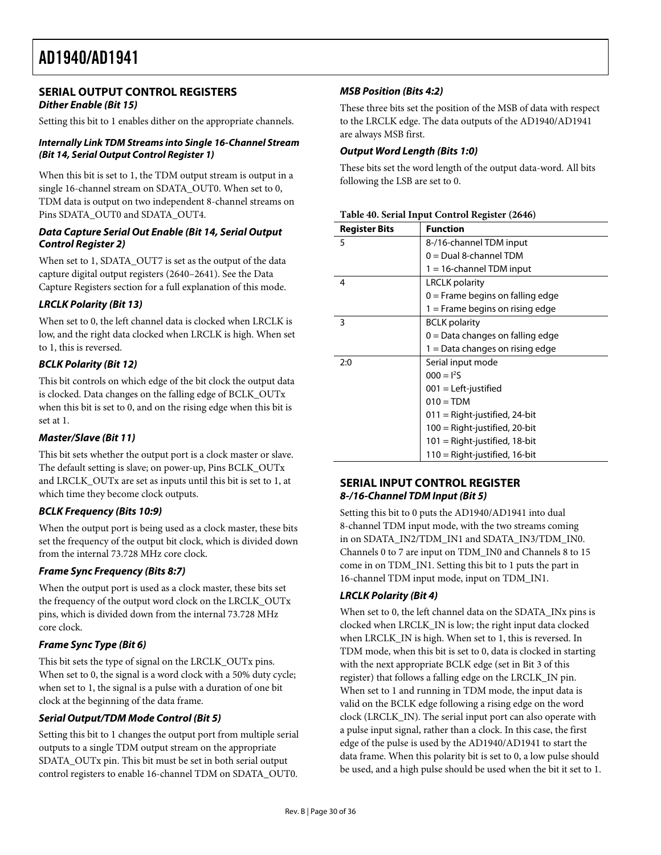## <span id="page-29-0"></span>**SERIAL OUTPUT CONTROL REGISTERS Dither Enable (Bit 15)**

Setting this bit to 1 enables dither on the appropriate channels.

#### **Internally Link TDM Streams into Single 16-Channel Stream (Bit 14, Serial Output Control Register 1)**

When this bit is set to 1, the TDM output stream is output in a single 16-channel stream on SDATA\_OUT0. When set to 0, TDM data is output on two independent 8-channel streams on Pins SDATA\_OUT0 and SDATA\_OUT4.

#### **Data Capture Serial Out Enable (Bit 14, Serial Output Control Register 2)**

When set to 1, SDATA\_OUT7 is set as the output of the data capture digital output registers (2640–2641). See the [Data](#page-22-1)  [Capture Registers](#page-22-1) section for a full explanation of this mode.

### **LRCLK Polarity (Bit 13)**

When set to 0, the left channel data is clocked when LRCLK is low, and the right data clocked when LRCLK is high. When set to 1, this is reversed.

## **BCLK Polarity (Bit 12)**

This bit controls on which edge of the bit clock the output data is clocked. Data changes on the falling edge of BCLK\_OUTx when this bit is set to 0, and on the rising edge when this bit is set at 1.

#### **Master/Slave (Bit 11)**

This bit sets whether the output port is a clock master or slave. The default setting is slave; on power-up, Pins BCLK\_OUTx and LRCLK\_OUTx are set as inputs until this bit is set to 1, at which time they become clock outputs.

## **BCLK Frequency (Bits 10:9)**

When the output port is being used as a clock master, these bits set the frequency of the output bit clock, which is divided down from the internal 73.728 MHz core clock.

#### **Frame Sync Frequency (Bits 8:7)**

When the output port is used as a clock master, these bits set the frequency of the output word clock on the LRCLK\_OUTx pins, which is divided down from the internal 73.728 MHz core clock.

## **Frame Sync Type (Bit 6)**

This bit sets the type of signal on the LRCLK\_OUTx pins. When set to 0, the signal is a word clock with a 50% duty cycle; when set to 1, the signal is a pulse with a duration of one bit clock at the beginning of the data frame.

## **Serial Output/TDM Mode Control (Bit 5)**

Setting this bit to 1 changes the output port from multiple serial outputs to a single TDM output stream on the appropriate SDATA\_OUTx pin. This bit must be set in both serial output control registers to enable 16-channel TDM on SDATA\_OUT0.

## **MSB Position (Bits 4:2)**

These three bits set the position of the MSB of data with respect to the LRCLK edge. The data outputs of the AD1940/AD1941 are always MSB first.

#### **Output Word Length (Bits 1:0)**

These bits set the word length of the output data-word. All bits following the LSB are set to 0.

| <b>Register Bits</b> | <b>Function</b>                    |
|----------------------|------------------------------------|
| 5                    | 8-/16-channel TDM input            |
|                      | $0 =$ Dual 8-channel TDM           |
|                      | $1 = 16$ -channel TDM input        |
| 4                    | <b>LRCLK</b> polarity              |
|                      | $0 =$ Frame begins on falling edge |
|                      | 1 = Frame begins on rising edge    |
| 3                    | <b>BCLK</b> polarity               |
|                      | $0 =$ Data changes on falling edge |
|                      | 1 = Data changes on rising edge    |
| 2:0                  | Serial input mode                  |
|                      | $000 = 125$                        |
|                      | $001$ = Left-justified             |
|                      | $010 = TDM$                        |
|                      | $011 =$ Right-justified, 24-bit    |
|                      | $100 =$ Right-justified, 20-bit    |
|                      | 101 = Right-justified, 18-bit      |
|                      | 110 = Right-justified, 16-bit      |

#### **Table 40. Serial Input Control Register (2646)**

## **SERIAL INPUT CONTROL REGISTER 8-/16-Channel TDM Input (Bit 5)**

Setting this bit to 0 puts the AD1940/AD1941 into dual 8-channel TDM input mode, with the two streams coming in on SDATA\_IN2/TDM\_IN1 and SDATA\_IN3/TDM\_IN0. Channels 0 to 7 are input on TDM\_IN0 and Channels 8 to 15 come in on TDM\_IN1. Setting this bit to 1 puts the part in 16-channel TDM input mode, input on TDM\_IN1.

## **LRCLK Polarity (Bit 4)**

When set to 0, the left channel data on the SDATA\_INx pins is clocked when LRCLK\_IN is low; the right input data clocked when LRCLK\_IN is high. When set to 1, this is reversed. In TDM mode, when this bit is set to 0, data is clocked in starting with the next appropriate BCLK edge (set in Bit 3 of this register) that follows a falling edge on the LRCLK\_IN pin. When set to 1 and running in TDM mode, the input data is valid on the BCLK edge following a rising edge on the word clock (LRCLK\_IN). The serial input port can also operate with a pulse input signal, rather than a clock. In this case, the first edge of the pulse is used by the AD1940/AD1941 to start the data frame. When this polarity bit is set to 0, a low pulse should be used, and a high pulse should be used when the bit it set to 1.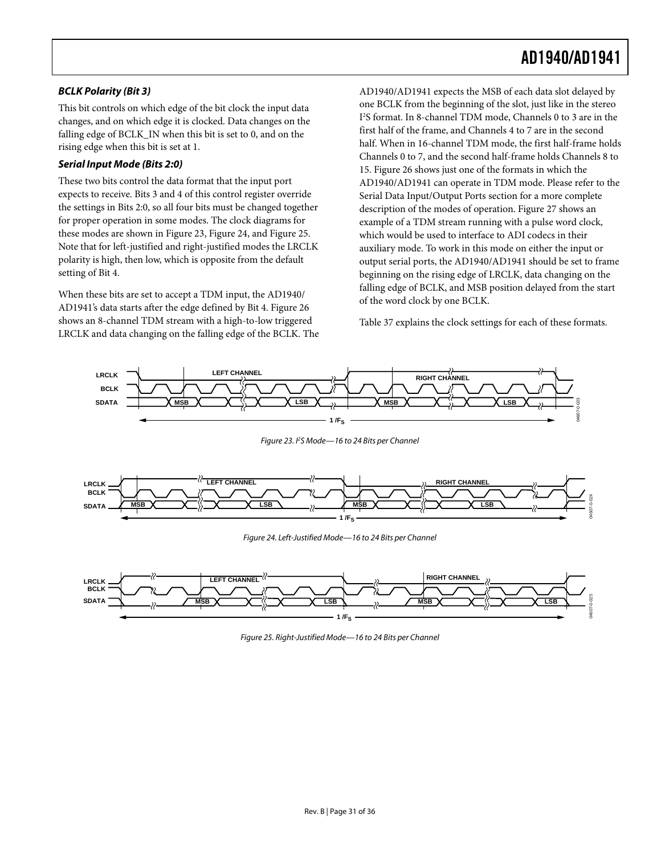### **BCLK Polarity (Bit 3)**

This bit controls on which edge of the bit clock the input data changes, and on which edge it is clocked. Data changes on the falling edge of BCLK\_IN when this bit is set to 0, and on the rising edge when this bit is set at 1.

#### **Serial Input Mode (Bits 2:0)**

These two bits control the data format that the input port expects to receive. Bits 3 and 4 of this control register override the settings in Bits 2:0, so all four bits must be changed together for proper operation in some modes. The clock diagrams for these modes are shown in [Figure 23](#page-30-0), [Figure 24](#page-30-1), and [Figure 25](#page-30-2). Note that for left-justified and right-justified modes the LRCLK polarity is high, then low, which is opposite from the default setting of Bit 4.

When these bits are set to accept a TDM input, the AD1940/ AD1941's data starts after the edge defined by Bit 4. [Figure 26](#page-31-0) shows an 8-channel TDM stream with a high-to-low triggered LRCLK and data changing on the falling edge of the BCLK. The AD1940/AD1941 expects the MSB of each data slot delayed by one BCLK from the beginning of the slot, just like in the stereo I 2 S format. In 8-channel TDM mode, Channels 0 to 3 are in the first half of the frame, and Channels 4 to 7 are in the second half. When in 16-channel TDM mode, the first half-frame holds Channels 0 to 7, and the second half-frame holds Channels 8 to 15. [Figure 26](#page-31-0) shows just one of the formats in which the AD1940/AD1941 can operate in TDM mode. Please refer to the [Serial Data Input/Output Ports](#page-27-1) section for a more complete description of the modes of operation. [Figure 27](#page-31-1) shows an example of a TDM stream running with a pulse word clock, which would be used to interface to ADI codecs in their auxiliary mode. To work in this mode on either the input or output serial ports, the AD1940/AD1941 should be set to frame beginning on the rising edge of LRCLK, data changing on the falling edge of BCLK, and MSB position delayed from the start of the word clock by one BCLK.

[Table 37](#page-27-3) explains the clock settings for each of these formats.



Figure 23. <sup>P</sup>S Mode-16 to 24 Bits per Channel

<span id="page-30-0"></span>

Figure 24. Left-Justified Mode—16 to 24 Bits per Channel

<span id="page-30-2"></span><span id="page-30-1"></span>

Figure 25. Right-Justified Mode—16 to 24 Bits per Channel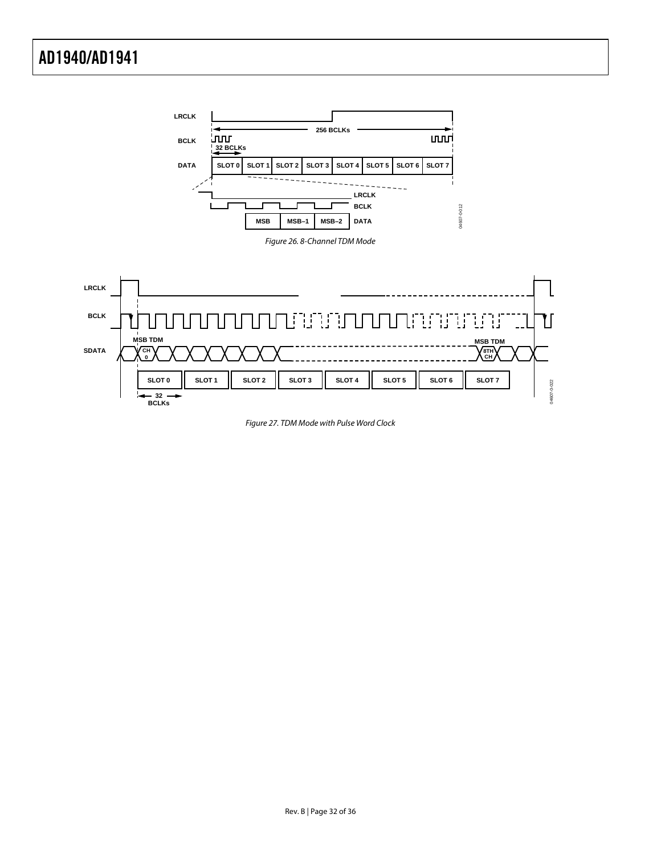<span id="page-31-0"></span>

<span id="page-31-1"></span>Figure 27. TDM Mode with Pulse Word Clock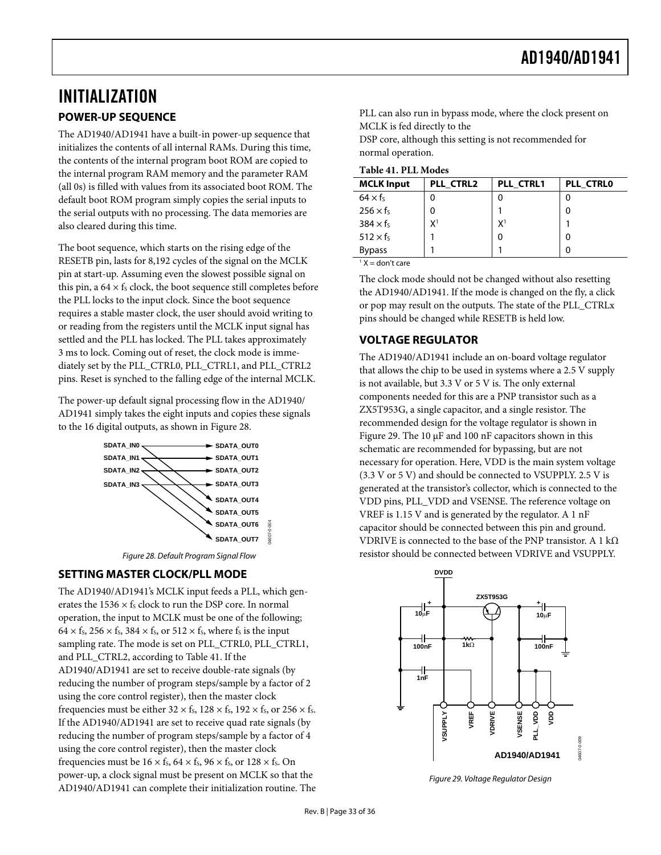## <span id="page-32-0"></span>INITIALIZATION **POWER-UP SEQUENCE**

<span id="page-32-4"></span><span id="page-32-3"></span>The AD1940/AD1941 have a built-in power-up sequence that initializes the contents of all internal RAMs. During this time, the contents of the internal program boot ROM are copied to the internal program RAM memory and the parameter RAM (all 0s) is filled with values from its associated boot ROM. The default boot ROM program simply copies the serial inputs to the serial outputs with no processing. The data memories are also cleared during this time.

The boot sequence, which starts on the rising edge of the RESETB pin, lasts for 8,192 cycles of the signal on the MCLK pin at start-up. Assuming even the slowest possible signal on this pin, a  $64 \times f_s$  clock, the boot sequence still completes before the PLL locks to the input clock. Since the boot sequence requires a stable master clock, the user should avoid writing to or reading from the registers until the MCLK input signal has settled and the PLL has locked. The PLL takes approximately 3 ms to lock. Coming out of reset, the clock mode is immediately set by the PLL\_CTRL0, PLL\_CTRL1, and PLL\_CTRL2 pins. Reset is synched to the falling edge of the internal MCLK.

The power-up default signal processing flow in the AD1940/ AD1941 simply takes the eight inputs and copies these signals to the 16 digital outputs, as shown in [Figure 28.](#page-32-2)



Figure 28. Default Program Signal Flow

## <span id="page-32-2"></span><span id="page-32-1"></span>**SETTING MASTER CLOCK/PLL MODE**

<span id="page-32-5"></span>The AD1940/AD1941's MCLK input feeds a PLL, which generates the 1536  $\times$  fs clock to run the DSP core. In normal operation, the input to MCLK must be one of the following;  $64 \times f_s$ ,  $256 \times f_s$ ,  $384 \times f_s$ , or  $512 \times f_s$ , where fs is the input sampling rate. The mode is set on PLL\_CTRL0, PLL\_CTRL1, and PLL\_CTRL2, according to [Table 41](#page-32-4). If the AD1940/AD1941 are set to receive double-rate signals (by reducing the number of program steps/sample by a factor of 2 using the core control register), then the master clock frequencies must be either  $32 \times f_s$ ,  $128 \times f_s$ ,  $192 \times f_s$ , or  $256 \times f_s$ . If the AD1940/AD1941 are set to receive quad rate signals (by reducing the number of program steps/sample by a factor of 4 using the core control register), then the master clock frequencies must be  $16 \times f_s$ ,  $64 \times f_s$ ,  $96 \times f_s$ , or  $128 \times f_s$ . On power-up, a clock signal must be present on MCLK so that the AD1940/AD1941 can complete their initialization routine. The PLL can also run in bypass mode, where the clock present on MCLK is fed directly to the

DSP core, although this setting is not recommended for normal operation.

| <b>MCLK Input</b>    | PLL CTRL2      | PLL CTRL1      | PLL CTRLO |  |
|----------------------|----------------|----------------|-----------|--|
| $64 \times f_s$      |                |                |           |  |
| $256 \times f_5$     |                |                | 0         |  |
| $384 \times f_5$     | X <sup>1</sup> | X <sup>1</sup> |           |  |
| $512 \times f_s$     |                | 0              | 0         |  |
| <b>Bypass</b>        |                |                | 0         |  |
| $1$ Y $-$ don't care |                |                |           |  |

 $X =$  don't care

The clock mode should not be changed without also resetting the AD1940/AD1941. If the mode is changed on the fly, a click or pop may result on the outputs. The state of the PLL\_CTRLx pins should be changed while RESETB is held low.

## **VOLTAGE REGULATOR**

The AD1940/AD1941 include an on-board voltage regulator that allows the chip to be used in systems where a 2.5 V supply is not available, but 3.3 V or 5 V is. The only external components needed for this are a PNP transistor such as a ZX5T953G, a single capacitor, and a single resistor. The recommended design for the voltage regulator is shown in [Figure 29](#page-32-5). The 10 μF and 100 nF capacitors shown in this schematic are recommended for bypassing, but are not necessary for operation. Here, VDD is the main system voltage (3.3 V or 5 V) and should be connected to VSUPPLY. 2.5 V is generated at the transistor's collector, which is connected to the VDD pins, PLL\_VDD and VSENSE. The reference voltage on VREF is 1.15 V and is generated by the regulator. A 1 nF capacitor should be connected between this pin and ground. VDRIVE is connected to the base of the PNP transistor. A 1 k $\Omega$ resistor should be connected between VDRIVE and VSUPPLY.



Figure 29. Voltage Regulator Design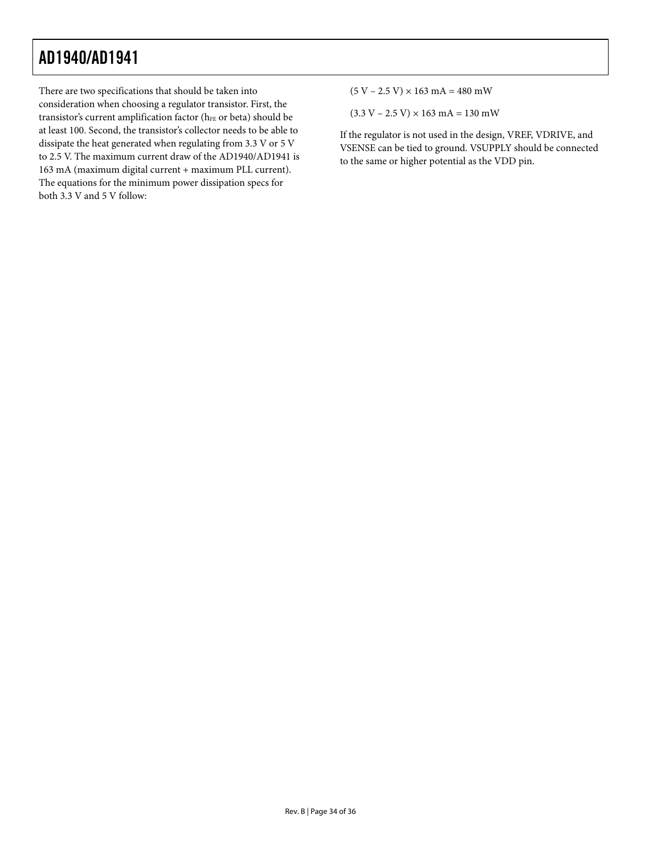There are two specifications that should be taken into consideration when choosing a regulator transistor. First, the transistor's current amplification factor (hFE or beta) should be at least 100. Second, the transistor's collector needs to be able to dissipate the heat generated when regulating from 3.3 V or 5 V to 2.5 V. The maximum current draw of the AD1940/AD1941 is 163 mA (maximum digital current + maximum PLL current). The equations for the minimum power dissipation specs for both 3.3 V and 5 V follow:

 $(5 V - 2.5 V) \times 163 mA = 480 mW$ 

 $(3.3 V - 2.5 V) \times 163 mA = 130 mW$ 

If the regulator is not used in the design, VREF, VDRIVE, and VSENSE can be tied to ground. VSUPPLY should be connected to the same or higher potential as the VDD pin.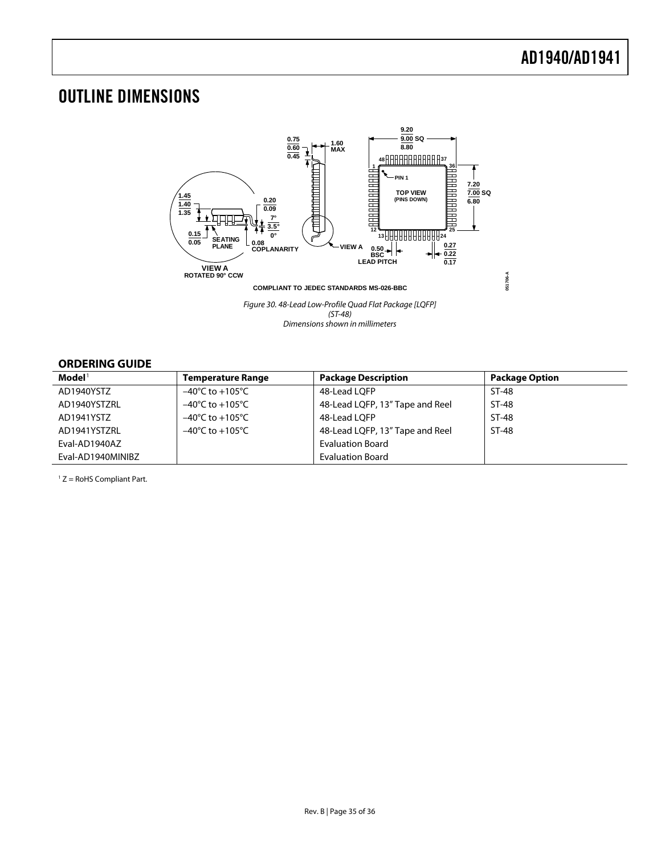## <span id="page-34-0"></span>OUTLINE DIMENSIONS



Figure 30. 48-Lead Low-Profile Quad Flat Package [LQFP] (ST-48) Dimensions shown in millimeters

## <span id="page-34-1"></span>**ORDERING GUIDE**

| Model <sup>1</sup> | Temperature Range                   | <b>Package Description</b>      | <b>Package Option</b> |
|--------------------|-------------------------------------|---------------------------------|-----------------------|
| AD1940YSTZ         | $-40^{\circ}$ C to $+105^{\circ}$ C | 48-Lead LQFP                    | ST-48                 |
| AD1940YSTZRL       | $-40^{\circ}$ C to $+105^{\circ}$ C | 48-Lead LQFP, 13" Tape and Reel | ST-48                 |
| AD1941YSTZ         | $-40^{\circ}$ C to $+105^{\circ}$ C | 48-Lead LOFP                    | ST-48                 |
| AD1941YSTZRL       | $-40^{\circ}$ C to $+105^{\circ}$ C | 48-Lead LQFP, 13" Tape and Reel | ST-48                 |
| Eval-AD1940AZ      |                                     | <b>Evaluation Board</b>         |                       |
| Eval-AD1940MINIBZ  |                                     | <b>Evaluation Board</b>         |                       |

 $1 Z =$  RoHS Compliant Part.